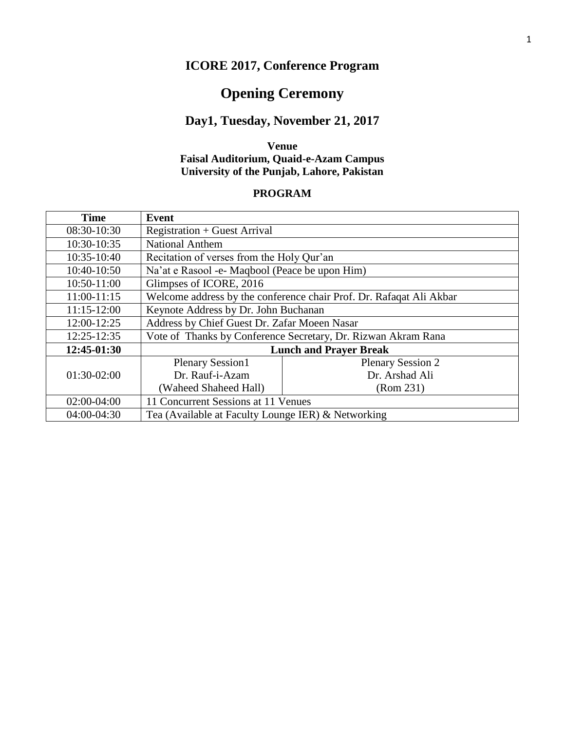# **ICORE 2017, Conference Program**

# **Opening Ceremony**

#### **Day1, Tuesday, November 21, 2017**

#### **Venue Faisal Auditorium, Quaid-e-Azam Campus University of the Punjab, Lahore, Pakistan**

#### **PROGRAM**

| <b>Time</b>   | Event                                              |                                                                     |  |  |
|---------------|----------------------------------------------------|---------------------------------------------------------------------|--|--|
| 08:30-10:30   | <b>Registration + Guest Arrival</b>                |                                                                     |  |  |
| 10:30-10:35   | <b>National Anthem</b>                             |                                                                     |  |  |
| 10:35-10:40   | Recitation of verses from the Holy Qur'an          |                                                                     |  |  |
| 10:40-10:50   | Na'at e Rasool -e- Maqbool (Peace be upon Him)     |                                                                     |  |  |
| 10:50-11:00   | Glimpses of ICORE, 2016                            |                                                                     |  |  |
| $11:00-11:15$ |                                                    | Welcome address by the conference chair Prof. Dr. Rafaqat Ali Akbar |  |  |
| $11:15-12:00$ | Keynote Address by Dr. John Buchanan               |                                                                     |  |  |
| 12:00-12:25   | Address by Chief Guest Dr. Zafar Moeen Nasar       |                                                                     |  |  |
| 12:25-12:35   |                                                    | Vote of Thanks by Conference Secretary, Dr. Rizwan Akram Rana       |  |  |
| 12:45-01:30   | <b>Lunch and Prayer Break</b>                      |                                                                     |  |  |
|               | <b>Plenary Session1</b>                            | <b>Plenary Session 2</b>                                            |  |  |
| 01:30-02:00   | Dr. Rauf-i-Azam                                    | Dr. Arshad Ali                                                      |  |  |
|               | (Waheed Shaheed Hall)                              | (Rom 231)                                                           |  |  |
| 02:00-04:00   | 11 Concurrent Sessions at 11 Venues                |                                                                     |  |  |
| 04:00-04:30   | Tea (Available at Faculty Lounge IER) & Networking |                                                                     |  |  |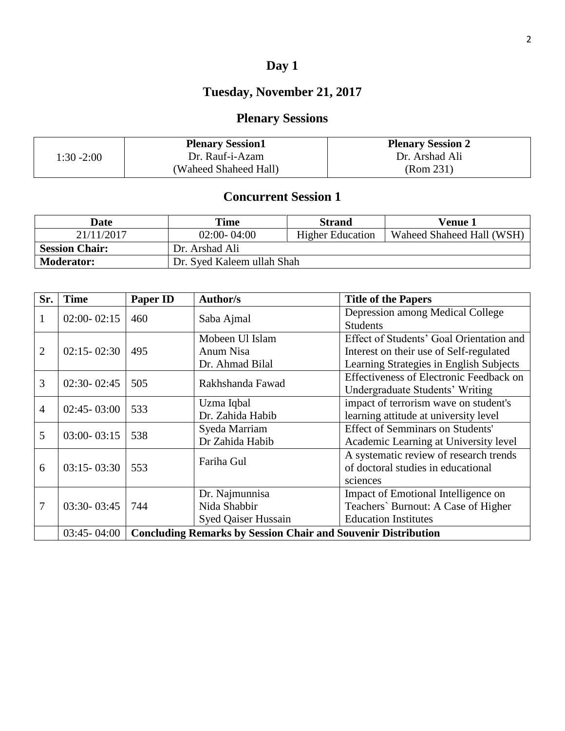# **Day 1**

# **Tuesday, November 21, 2017**

# **Plenary Sessions**

|               | <b>Plenary Session1</b> | <b>Plenary Session 2</b> |
|---------------|-------------------------|--------------------------|
| $1:30 - 2:00$ | Dr. Rauf-i-Azam         | Dr. Arshad Ali           |
|               | (Waheed Shaheed Hall)   | (Rom 231)                |

| Date                  | Time                       | <b>Strand</b>           | <b>Venue 1</b>            |
|-----------------------|----------------------------|-------------------------|---------------------------|
| 21/11/2017            | $02:00 - 04:00$            | <b>Higher Education</b> | Waheed Shaheed Hall (WSH) |
| <b>Session Chair:</b> | Dr. Arshad Ali             |                         |                           |
| <b>Moderator:</b>     | Dr. Syed Kaleem ullah Shah |                         |                           |

| Sr.            | <b>Time</b>     | <b>Paper ID</b>                                                      | <b>Author/s</b>            | <b>Title of the Papers</b>                     |
|----------------|-----------------|----------------------------------------------------------------------|----------------------------|------------------------------------------------|
| 1              | $02:00 - 02:15$ | 460                                                                  | Saba Ajmal                 | Depression among Medical College               |
|                |                 |                                                                      |                            | <b>Students</b>                                |
|                |                 |                                                                      | Mobeen Ul Islam            | Effect of Students' Goal Orientation and       |
| 2              | $02:15 - 02:30$ | 495                                                                  | Anum Nisa                  | Interest on their use of Self-regulated        |
|                |                 |                                                                      | Dr. Ahmad Bilal            | Learning Strategies in English Subjects        |
|                | $02:30 - 02:45$ |                                                                      |                            | <b>Effectiveness of Electronic Feedback on</b> |
| 3              |                 | 505                                                                  | Rakhshanda Fawad           | Undergraduate Students' Writing                |
| $\overline{4}$ | $02:45 - 03:00$ | 533                                                                  | Uzma Iqbal                 | impact of terrorism wave on student's          |
|                |                 |                                                                      | Dr. Zahida Habib           | learning attitude at university level          |
| 5              | $03:00 - 03:15$ | 538                                                                  | Syeda Marriam              | <b>Effect of Semminars on Students'</b>        |
|                |                 |                                                                      | Dr Zahida Habib            | Academic Learning at University level          |
|                |                 | 553                                                                  | Fariha Gul                 | A systematic review of research trends         |
| 6              | $03:15 - 03:30$ |                                                                      |                            | of doctoral studies in educational             |
|                |                 |                                                                      |                            | sciences                                       |
|                |                 |                                                                      | Dr. Najmunnisa             | Impact of Emotional Intelligence on            |
| 7              | 03:30-03:45     | 744                                                                  | Nida Shabbir               | Teachers' Burnout: A Case of Higher            |
|                |                 |                                                                      | <b>Syed Qaiser Hussain</b> | <b>Education Institutes</b>                    |
|                | $03:45 - 04:00$ | <b>Concluding Remarks by Session Chair and Souvenir Distribution</b> |                            |                                                |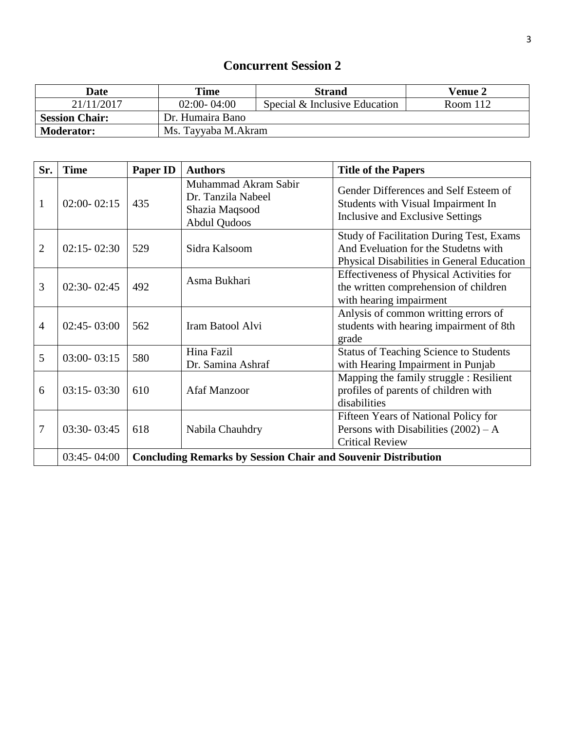| <b>Date</b>           | <b>Time</b>         | <b>Strand</b>                 | <b>Venue 2</b> |
|-----------------------|---------------------|-------------------------------|----------------|
| 21/11/2017            | $02:00 - 04:00$     | Special & Inclusive Education | Room 112       |
| <b>Session Chair:</b> | Dr. Humaira Bano    |                               |                |
| <b>Moderator:</b>     | Ms. Tayyaba M.Akram |                               |                |

| Sr.            | <b>Time</b>     | Paper ID                                                             | <b>Authors</b>                                                                      | <b>Title of the Papers</b>                                                                                                            |
|----------------|-----------------|----------------------------------------------------------------------|-------------------------------------------------------------------------------------|---------------------------------------------------------------------------------------------------------------------------------------|
| $\mathbf{1}$   | $02:00 - 02:15$ | 435                                                                  | Muhammad Akram Sabir<br>Dr. Tanzila Nabeel<br>Shazia Maqsood<br><b>Abdul Qudoos</b> | Gender Differences and Self Esteem of<br>Students with Visual Impairment In<br>Inclusive and Exclusive Settings                       |
| $\overline{2}$ | $02:15 - 02:30$ | 529                                                                  | Sidra Kalsoom                                                                       | <b>Study of Facilitation During Test, Exams</b><br>And Eveluation for the Studetns with<br>Physical Disabilities in General Education |
| 3              | $02:30 - 02:45$ | 492                                                                  | Asma Bukhari                                                                        | <b>Effectiveness of Physical Activities for</b><br>the written comprehension of children<br>with hearing impairment                   |
| $\overline{4}$ | $02:45 - 03:00$ | 562                                                                  | Iram Batool Alvi                                                                    | Anlysis of common writting errors of<br>students with hearing impairment of 8th<br>grade                                              |
| 5              | $03:00 - 03:15$ | 580                                                                  | Hina Fazil<br>Dr. Samina Ashraf                                                     | <b>Status of Teaching Science to Students</b><br>with Hearing Impairment in Punjab                                                    |
| 6              | $03:15 - 03:30$ | 610                                                                  | <b>Afaf Manzoor</b>                                                                 | Mapping the family struggle : Resilient<br>profiles of parents of children with<br>disabilities                                       |
| 7              | 03:30-03:45     | 618                                                                  | Nabila Chauhdry                                                                     | Fifteen Years of National Policy for<br>Persons with Disabilities $(2002) - A$<br><b>Critical Review</b>                              |
|                | $03:45 - 04:00$ | <b>Concluding Remarks by Session Chair and Souvenir Distribution</b> |                                                                                     |                                                                                                                                       |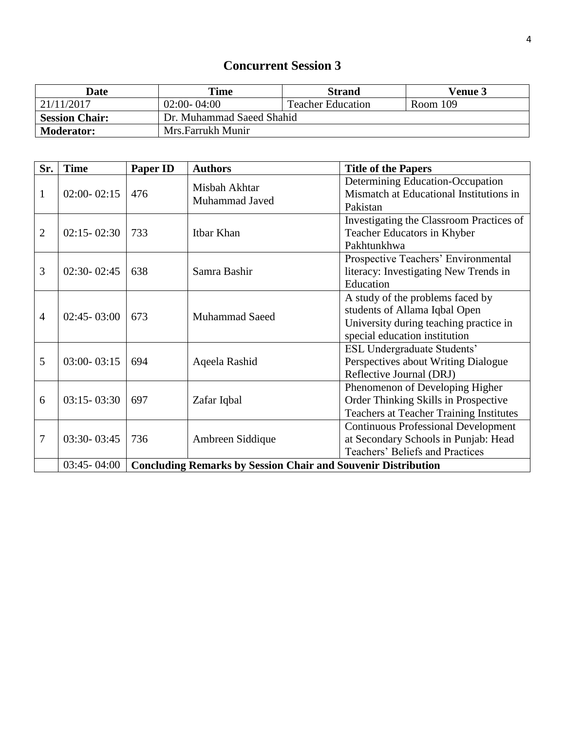| Date                  | Time                      | <b>Strand</b>            | <b>Venue 3</b> |
|-----------------------|---------------------------|--------------------------|----------------|
| 21/11/2017            | $02:00 - 04:00$           | <b>Teacher Education</b> | Room 109       |
| <b>Session Chair:</b> | Dr. Muhammad Saeed Shahid |                          |                |
| <b>Moderator:</b>     | Mrs.Farrukh Munir         |                          |                |

| Sr. | <b>Time</b>     | <b>Paper ID</b>                                                      | <b>Authors</b>        | <b>Title of the Papers</b>                     |
|-----|-----------------|----------------------------------------------------------------------|-----------------------|------------------------------------------------|
|     |                 |                                                                      | Misbah Akhtar         | Determining Education-Occupation               |
| 1   | $02:00 - 02:15$ | 476                                                                  | Muhammad Javed        | Mismatch at Educational Institutions in        |
|     |                 |                                                                      |                       | Pakistan                                       |
|     |                 |                                                                      |                       | Investigating the Classroom Practices of       |
| 2   | $02:15 - 02:30$ | 733                                                                  | Itbar Khan            | Teacher Educators in Khyber                    |
|     |                 |                                                                      |                       | Pakhtunkhwa                                    |
|     |                 |                                                                      |                       | Prospective Teachers' Environmental            |
| 3   | 02:30-02:45     | 638                                                                  | Samra Bashir          | literacy: Investigating New Trends in          |
|     |                 |                                                                      |                       | Education                                      |
|     |                 | 673                                                                  | <b>Muhammad Saeed</b> | A study of the problems faced by               |
|     | $02:45 - 03:00$ |                                                                      |                       | students of Allama Iqbal Open                  |
| 4   |                 |                                                                      |                       | University during teaching practice in         |
|     |                 |                                                                      |                       | special education institution                  |
|     |                 |                                                                      |                       | <b>ESL Undergraduate Students'</b>             |
| 5   | $03:00 - 03:15$ | 694                                                                  | Aqeela Rashid         | Perspectives about Writing Dialogue            |
|     |                 |                                                                      |                       | Reflective Journal (DRJ)                       |
|     |                 |                                                                      |                       | Phenomenon of Developing Higher                |
| 6   | $03:15 - 03:30$ | 697                                                                  | Zafar Iqbal           | Order Thinking Skills in Prospective           |
|     |                 |                                                                      |                       | <b>Teachers at Teacher Training Institutes</b> |
|     |                 |                                                                      |                       | <b>Continuous Professional Development</b>     |
| 7   | 03:30-03:45     | 736                                                                  | Ambreen Siddique      | at Secondary Schools in Punjab: Head           |
|     |                 |                                                                      |                       | Teachers' Beliefs and Practices                |
|     | $03:45 - 04:00$ | <b>Concluding Remarks by Session Chair and Souvenir Distribution</b> |                       |                                                |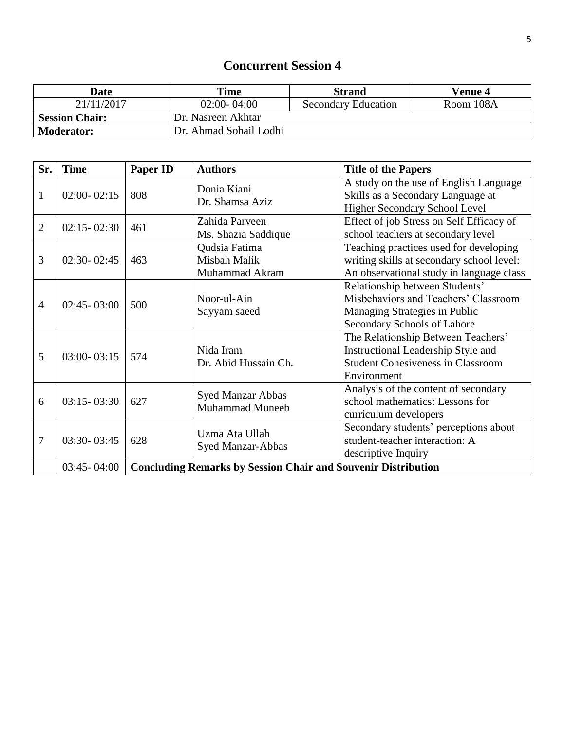| Date                  | Time                   | <b>Strand</b>              | <b>Venue 4</b> |
|-----------------------|------------------------|----------------------------|----------------|
| 21/11/2017            | $02:00 - 04:00$        | <b>Secondary Education</b> | Room 108A      |
| <b>Session Chair:</b> | Dr. Nasreen Akhtar     |                            |                |
| <b>Moderator:</b>     | Dr. Ahmad Sohail Lodhi |                            |                |

| Sr.            | <b>Time</b>     | <b>Paper ID</b>                                                      | <b>Authors</b>                                     | <b>Title of the Papers</b>                                                                                                             |
|----------------|-----------------|----------------------------------------------------------------------|----------------------------------------------------|----------------------------------------------------------------------------------------------------------------------------------------|
| $\mathbf{1}$   | $02:00 - 02:15$ | 808                                                                  | Donia Kiani<br>Dr. Shamsa Aziz                     | A study on the use of English Language<br>Skills as a Secondary Language at<br>Higher Secondary School Level                           |
| 2              | $02:15 - 02:30$ | 461                                                                  | Zahida Parveen<br>Ms. Shazia Saddique              | Effect of job Stress on Self Efficacy of<br>school teachers at secondary level                                                         |
| 3              | $02:30 - 02:45$ | 463                                                                  | Qudsia Fatima<br>Misbah Malik<br>Muhammad Akram    | Teaching practices used for developing<br>writing skills at secondary school level:<br>An observational study in language class        |
| $\overline{4}$ | $02:45 - 03:00$ | 500                                                                  | Noor-ul-Ain<br>Sayyam saeed                        | Relationship between Students'<br>Misbehaviors and Teachers' Classroom<br>Managing Strategies in Public<br>Secondary Schools of Lahore |
| 5              | $03:00 - 03:15$ | 574                                                                  | Nida Iram<br>Dr. Abid Hussain Ch.                  | The Relationship Between Teachers'<br>Instructional Leadership Style and<br><b>Student Cohesiveness in Classroom</b><br>Environment    |
| 6              | $03:15 - 03:30$ | 627                                                                  | <b>Syed Manzar Abbas</b><br><b>Muhammad Muneeb</b> | Analysis of the content of secondary<br>school mathematics: Lessons for<br>curriculum developers                                       |
| 7              | 03:30-03:45     | 628                                                                  | Uzma Ata Ullah<br>Syed Manzar-Abbas                | Secondary students' perceptions about<br>student-teacher interaction: A<br>descriptive Inquiry                                         |
|                | $03:45 - 04:00$ | <b>Concluding Remarks by Session Chair and Souvenir Distribution</b> |                                                    |                                                                                                                                        |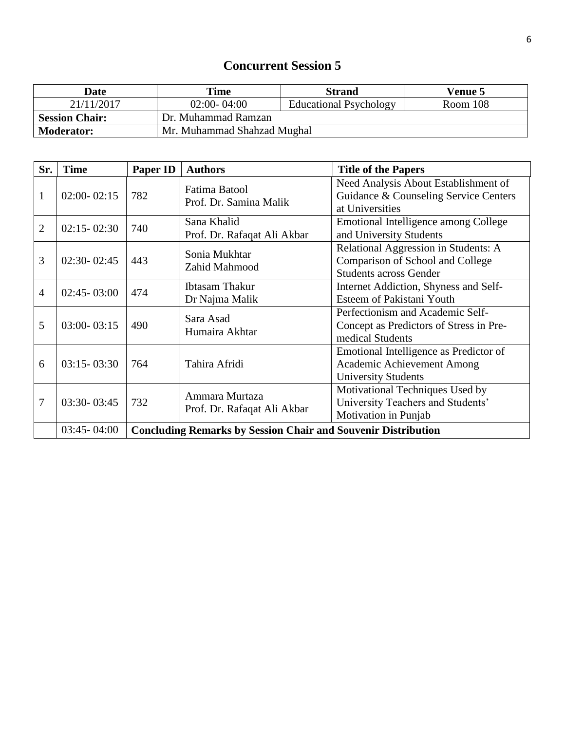| Date                  | Time                        | <b>Strand</b>                 | <b>Venue 5</b> |
|-----------------------|-----------------------------|-------------------------------|----------------|
| 21/11/2017            | $02:00 - 04:00$             | <b>Educational Psychology</b> | Room 108       |
| <b>Session Chair:</b> | Dr. Muhammad Ramzan         |                               |                |
| <b>Moderator:</b>     | Mr. Muhammad Shahzad Mughal |                               |                |

| Sr.            | <b>Time</b>     | <b>Paper ID</b>                                                      | <b>Authors</b>                                | <b>Title of the Papers</b>                                                                                |  |
|----------------|-----------------|----------------------------------------------------------------------|-----------------------------------------------|-----------------------------------------------------------------------------------------------------------|--|
| $\mathbf{1}$   | $02:00 - 02:15$ | 782                                                                  | Fatima Batool<br>Prof. Dr. Samina Malik       | Need Analysis About Establishment of<br>Guidance & Counseling Service Centers<br>at Universities          |  |
| $\overline{2}$ | $02:15 - 02:30$ | 740                                                                  | Sana Khalid<br>Prof. Dr. Rafaqat Ali Akbar    | Emotional Intelligence among College<br>and University Students                                           |  |
| 3              | $02:30 - 02:45$ | 443                                                                  | Sonia Mukhtar<br>Zahid Mahmood                | Relational Aggression in Students: A<br>Comparison of School and College<br><b>Students across Gender</b> |  |
| $\overline{4}$ | $02:45 - 03:00$ | 474                                                                  | <b>Ibtasam Thakur</b><br>Dr Najma Malik       | Internet Addiction, Shyness and Self-<br>Esteem of Pakistani Youth                                        |  |
| 5              | $03:00 - 03:15$ | 490                                                                  | Sara Asad<br>Humaira Akhtar                   | Perfectionism and Academic Self-<br>Concept as Predictors of Stress in Pre-<br>medical Students           |  |
| 6              | $03:15 - 03:30$ | 764                                                                  | Tahira Afridi                                 | Emotional Intelligence as Predictor of<br>Academic Achievement Among<br><b>University Students</b>        |  |
| 7              | 03:30-03:45     | 732                                                                  | Ammara Murtaza<br>Prof. Dr. Rafaqat Ali Akbar | Motivational Techniques Used by<br>University Teachers and Students'<br>Motivation in Punjab              |  |
|                | $03:45 - 04:00$ | <b>Concluding Remarks by Session Chair and Souvenir Distribution</b> |                                               |                                                                                                           |  |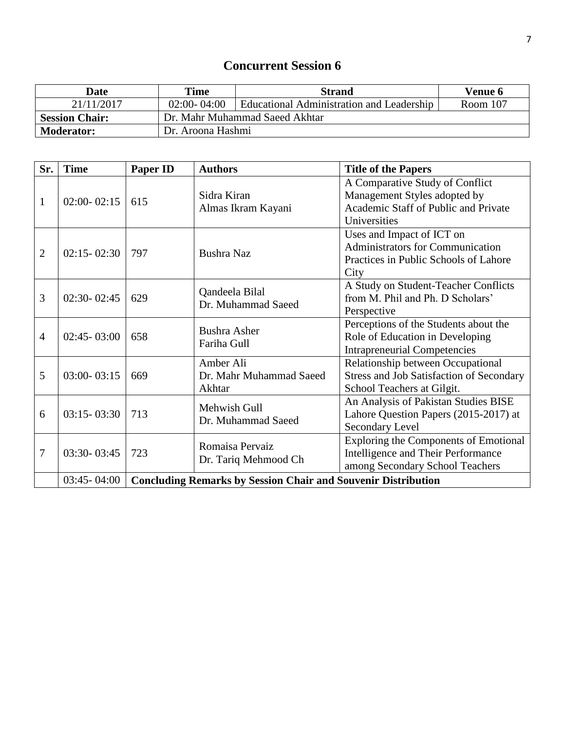| Date                  | Time                           | <b>Strand</b>                             | <b>Venue 6</b> |
|-----------------------|--------------------------------|-------------------------------------------|----------------|
| 21/11/2017            | $02:00 - 04:00$                | Educational Administration and Leadership | Room 107       |
| <b>Session Chair:</b> | Dr. Mahr Muhammad Saeed Akhtar |                                           |                |
| <b>Moderator:</b>     | Dr. Aroona Hashmi              |                                           |                |

| Sr.            | <b>Time</b>     | <b>Paper ID</b>                                                      | <b>Authors</b>                                 | <b>Title of the Papers</b>                                                                                              |
|----------------|-----------------|----------------------------------------------------------------------|------------------------------------------------|-------------------------------------------------------------------------------------------------------------------------|
| 1              | $02:00 - 02:15$ | 615                                                                  | Sidra Kiran<br>Almas Ikram Kayani              | A Comparative Study of Conflict<br>Management Styles adopted by<br>Academic Staff of Public and Private<br>Universities |
| $\overline{2}$ | $02:15 - 02:30$ | 797                                                                  | <b>Bushra Naz</b>                              | Uses and Impact of ICT on<br>Administrators for Communication<br>Practices in Public Schools of Lahore<br>City          |
| 3              | $02:30 - 02:45$ | 629                                                                  | Qandeela Bilal<br>Dr. Muhammad Saeed           | A Study on Student-Teacher Conflicts<br>from M. Phil and Ph. D Scholars'<br>Perspective                                 |
| $\overline{4}$ | $02:45 - 03:00$ | 658                                                                  | <b>Bushra Asher</b><br>Fariha Gull             | Perceptions of the Students about the<br>Role of Education in Developing<br><b>Intrapreneurial Competencies</b>         |
| 5              | $03:00 - 03:15$ | 669                                                                  | Amber Ali<br>Dr. Mahr Muhammad Saeed<br>Akhtar | Relationship between Occupational<br><b>Stress and Job Satisfaction of Secondary</b><br>School Teachers at Gilgit.      |
| 6              | $03:15 - 03:30$ | 713                                                                  | Mehwish Gull<br>Dr. Muhammad Saeed             | An Analysis of Pakistan Studies BISE<br>Lahore Question Papers (2015-2017) at<br>Secondary Level                        |
| 7              | 03:30-03:45     | 723                                                                  | Romaisa Pervaiz<br>Dr. Tariq Mehmood Ch        | <b>Exploring the Components of Emotional</b><br>Intelligence and Their Performance<br>among Secondary School Teachers   |
|                | $03:45 - 04:00$ | <b>Concluding Remarks by Session Chair and Souvenir Distribution</b> |                                                |                                                                                                                         |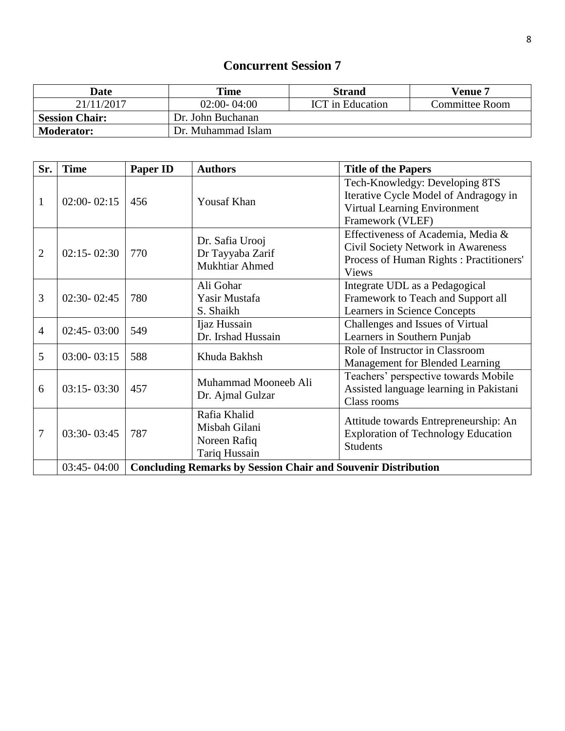| Date                  | Time               | <b>Strand</b>           | Venue 7               |
|-----------------------|--------------------|-------------------------|-----------------------|
| 21/11/2017            | $02:00 - 04:00$    | <b>ICT</b> in Education | <b>Committee Room</b> |
| <b>Session Chair:</b> | Dr. John Buchanan  |                         |                       |
| <b>Moderator:</b>     | Dr. Muhammad Islam |                         |                       |

| Sr.            | <b>Time</b>     | <b>Paper ID</b>                                                      | <b>Authors</b>       | <b>Title of the Papers</b>                 |
|----------------|-----------------|----------------------------------------------------------------------|----------------------|--------------------------------------------|
|                |                 |                                                                      |                      | Tech-Knowledgy: Developing 8TS             |
| $\mathbf{1}$   | $02:00 - 02:15$ | 456                                                                  | <b>Yousaf Khan</b>   | Iterative Cycle Model of Andragogy in      |
|                |                 |                                                                      |                      | Virtual Learning Environment               |
|                |                 |                                                                      |                      | Framework (VLEF)                           |
|                |                 |                                                                      | Dr. Safia Urooj      | Effectiveness of Academia, Media &         |
| $\overline{2}$ | $02:15 - 02:30$ | 770                                                                  | Dr Tayyaba Zarif     | Civil Society Network in Awareness         |
|                |                 |                                                                      | Mukhtiar Ahmed       | Process of Human Rights: Practitioners'    |
|                |                 |                                                                      |                      | <b>Views</b>                               |
|                |                 |                                                                      | Ali Gohar            | Integrate UDL as a Pedagogical             |
| 3              | $02:30 - 02:45$ | 780                                                                  | Yasir Mustafa        | Framework to Teach and Support all         |
|                |                 |                                                                      | S. Shaikh            | Learners in Science Concepts               |
| $\overline{4}$ | $02:45 - 03:00$ | 549                                                                  | Ijaz Hussain         | Challenges and Issues of Virtual           |
|                |                 |                                                                      | Dr. Irshad Hussain   | Learners in Southern Punjab                |
| 5              | $03:00 - 03:15$ | 588                                                                  | Khuda Bakhsh         | Role of Instructor in Classroom            |
|                |                 |                                                                      |                      | Management for Blended Learning            |
|                |                 |                                                                      | Muhammad Mooneeb Ali | Teachers' perspective towards Mobile       |
| 6              | $03:15 - 03:30$ | 457                                                                  | Dr. Ajmal Gulzar     | Assisted language learning in Pakistani    |
|                |                 |                                                                      |                      | Class rooms                                |
|                |                 |                                                                      | Rafia Khalid         | Attitude towards Entrepreneurship: An      |
| 7              | 03:30-03:45     | 787                                                                  | Misbah Gilani        | <b>Exploration of Technology Education</b> |
|                |                 |                                                                      | Noreen Rafiq         | <b>Students</b>                            |
|                |                 |                                                                      | Tariq Hussain        |                                            |
|                | $03:45 - 04:00$ | <b>Concluding Remarks by Session Chair and Souvenir Distribution</b> |                      |                                            |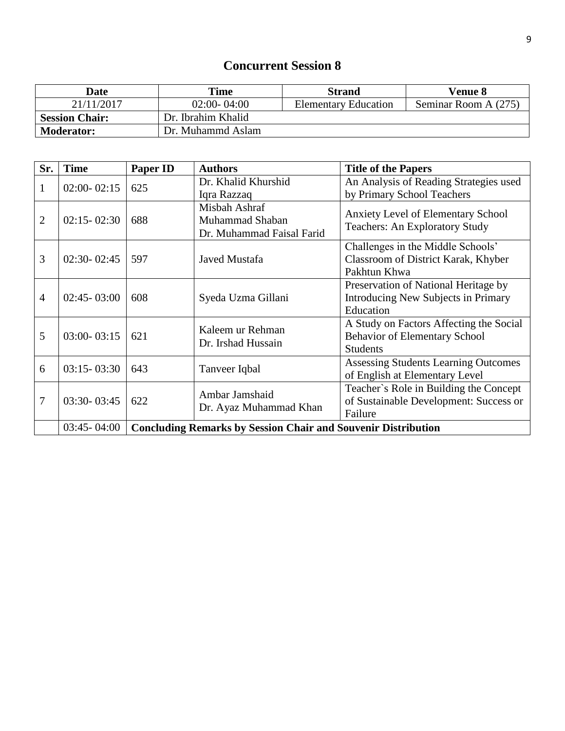| Date                  | Time               | <b>Strand</b>               | <b>Venue 8</b>       |
|-----------------------|--------------------|-----------------------------|----------------------|
| 21/11/2017            | $02:00 - 04:00$    | <b>Elementary Education</b> | Seminar Room A (275) |
| <b>Session Chair:</b> | Dr. Ibrahim Khalid |                             |                      |
| <b>Moderator:</b>     | Dr. Muhammd Aslam  |                             |                      |

| Sr.            | <b>Time</b>     | <b>Paper ID</b>                                                      | <b>Authors</b>                                                | <b>Title of the Papers</b>                                                         |
|----------------|-----------------|----------------------------------------------------------------------|---------------------------------------------------------------|------------------------------------------------------------------------------------|
|                | $02:00 - 02:15$ | 625                                                                  | Dr. Khalid Khurshid                                           | An Analysis of Reading Strategies used                                             |
| 1              |                 |                                                                      | Iqra Razzaq                                                   | by Primary School Teachers                                                         |
| $\overline{2}$ | $02:15 - 02:30$ | 688                                                                  | Misbah Ashraf<br>Muhammad Shaban<br>Dr. Muhammad Faisal Farid | <b>Anxiety Level of Elementary School</b><br><b>Teachers: An Exploratory Study</b> |
|                |                 |                                                                      |                                                               | Challenges in the Middle Schools'                                                  |
| 3              | $02:30 - 02:45$ | 597                                                                  | Javed Mustafa                                                 | Classroom of District Karak, Khyber                                                |
|                |                 |                                                                      |                                                               | Pakhtun Khwa                                                                       |
|                |                 |                                                                      |                                                               | Preservation of National Heritage by                                               |
| $\overline{4}$ | $02:45 - 03:00$ | 608                                                                  | Syeda Uzma Gillani                                            | Introducing New Subjects in Primary                                                |
|                |                 |                                                                      |                                                               | Education                                                                          |
|                |                 |                                                                      | Kaleem ur Rehman                                              | A Study on Factors Affecting the Social                                            |
| 5              | $03:00 - 03:15$ | 621                                                                  | Dr. Irshad Hussain                                            | Behavior of Elementary School                                                      |
|                |                 |                                                                      |                                                               | <b>Students</b>                                                                    |
| 6              | $03:15 - 03:30$ | 643                                                                  |                                                               | <b>Assessing Students Learning Outcomes</b>                                        |
|                |                 |                                                                      | Tanveer Iqbal                                                 | of English at Elementary Level                                                     |
|                |                 |                                                                      | Ambar Jamshaid                                                | Teacher's Role in Building the Concept                                             |
| 7              | $03:30 - 03:45$ | 622                                                                  |                                                               | of Sustainable Development: Success or                                             |
|                |                 |                                                                      | Dr. Ayaz Muhammad Khan                                        | Failure                                                                            |
|                | $03:45 - 04:00$ | <b>Concluding Remarks by Session Chair and Souvenir Distribution</b> |                                                               |                                                                                    |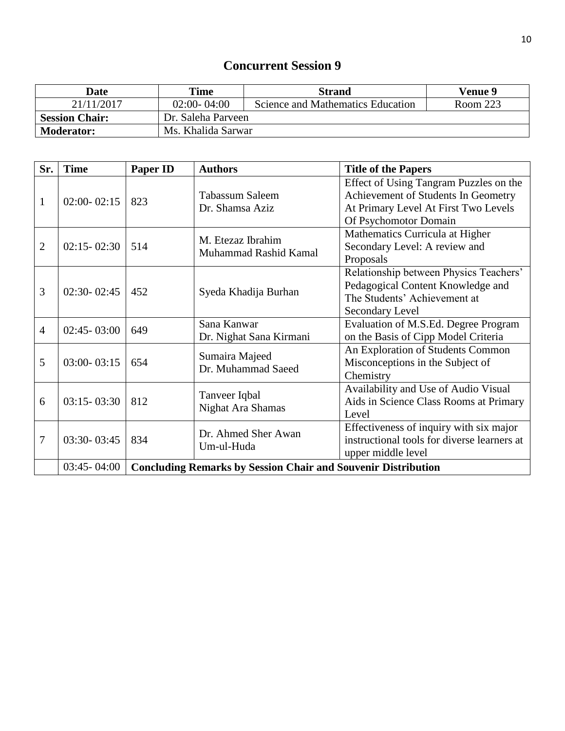| Date                  | Time               | <b>Strand</b>                     | Venue 9  |
|-----------------------|--------------------|-----------------------------------|----------|
| 21/11/2017            | $02:00 - 04:00$    | Science and Mathematics Education | Room 223 |
| <b>Session Chair:</b> | Dr. Saleha Parveen |                                   |          |
| <b>Moderator:</b>     | Ms. Khalida Sarwar |                                   |          |

| Sr.            | <b>Time</b>     | <b>Paper ID</b>                                                      | <b>Authors</b>          | <b>Title of the Papers</b>                  |
|----------------|-----------------|----------------------------------------------------------------------|-------------------------|---------------------------------------------|
|                |                 |                                                                      |                         | Effect of Using Tangram Puzzles on the      |
| $\mathbf{1}$   | $02:00 - 02:15$ | 823                                                                  | Tabassum Saleem         | Achievement of Students In Geometry         |
|                |                 |                                                                      | Dr. Shamsa Aziz         | At Primary Level At First Two Levels        |
|                |                 |                                                                      |                         | Of Psychomotor Domain                       |
|                |                 |                                                                      | M. Etezaz Ibrahim       | Mathematics Curricula at Higher             |
| $\overline{2}$ | $02:15 - 02:30$ | 514                                                                  | Muhammad Rashid Kamal   | Secondary Level: A review and               |
|                |                 |                                                                      |                         | Proposals                                   |
|                |                 |                                                                      |                         | Relationship between Physics Teachers'      |
| 3              | $02:30 - 02:45$ | 452                                                                  | Syeda Khadija Burhan    | Pedagogical Content Knowledge and           |
|                |                 |                                                                      |                         | The Students' Achievement at                |
|                |                 |                                                                      |                         | Secondary Level                             |
| $\overline{4}$ | $02:45 - 03:00$ | 649                                                                  | Sana Kanwar             | Evaluation of M.S.Ed. Degree Program        |
|                |                 |                                                                      | Dr. Nighat Sana Kirmani | on the Basis of Cipp Model Criteria         |
|                |                 |                                                                      | Sumaira Majeed          | An Exploration of Students Common           |
| 5              | $03:00 - 03:15$ | 654                                                                  | Dr. Muhammad Saeed      | Misconceptions in the Subject of            |
|                |                 |                                                                      |                         | Chemistry                                   |
|                |                 |                                                                      | Tanveer Iqbal           | Availability and Use of Audio Visual        |
| 6              | $03:15 - 03:30$ | 812                                                                  | Nighat Ara Shamas       | Aids in Science Class Rooms at Primary      |
|                |                 |                                                                      |                         | Level                                       |
|                |                 |                                                                      | Dr. Ahmed Sher Awan     | Effectiveness of inquiry with six major     |
| 7              | 03:30-03:45     | 834                                                                  | Um-ul-Huda              | instructional tools for diverse learners at |
|                |                 |                                                                      |                         | upper middle level                          |
|                | $03:45 - 04:00$ | <b>Concluding Remarks by Session Chair and Souvenir Distribution</b> |                         |                                             |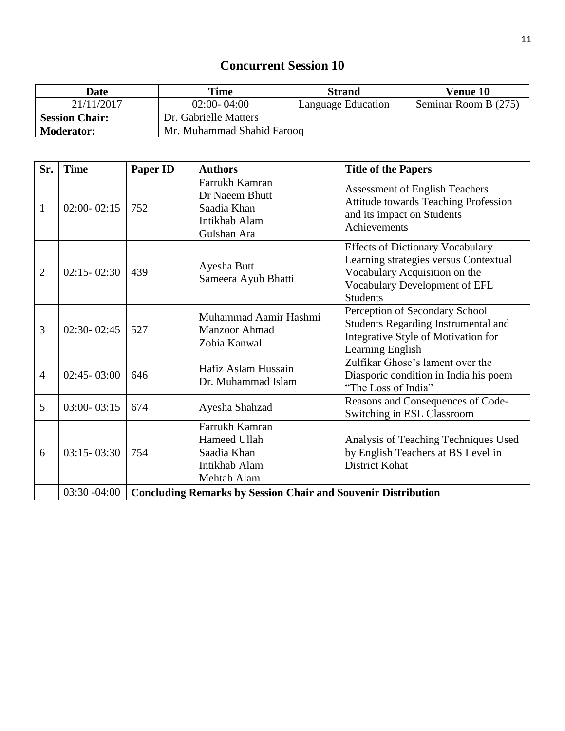| Date                  | Time                       | <b>Strand</b>             | Venue 10             |  |
|-----------------------|----------------------------|---------------------------|----------------------|--|
| 21/11/2017            | $02:00 - 04:00$            | <b>Language Education</b> | Seminar Room B (275) |  |
| <b>Session Chair:</b> | Dr. Gabrielle Matters      |                           |                      |  |
| <b>Moderator:</b>     | Mr. Muhammad Shahid Farooq |                           |                      |  |

| Sr.            | <b>Time</b>     | <b>Paper ID</b>                                                      | <b>Authors</b>                                                                  | <b>Title of the Papers</b>                                                                                                                                            |
|----------------|-----------------|----------------------------------------------------------------------|---------------------------------------------------------------------------------|-----------------------------------------------------------------------------------------------------------------------------------------------------------------------|
| $\mathbf{1}$   | $02:00 - 02:15$ | 752                                                                  | Farrukh Kamran<br>Dr Naeem Bhutt<br>Saadia Khan<br>Intikhab Alam<br>Gulshan Ara | <b>Assessment of English Teachers</b><br><b>Attitude towards Teaching Profession</b><br>and its impact on Students<br>Achievements                                    |
| $\overline{2}$ | $02:15 - 02:30$ | 439                                                                  | Ayesha Butt<br>Sameera Ayub Bhatti                                              | <b>Effects of Dictionary Vocabulary</b><br>Learning strategies versus Contextual<br>Vocabulary Acquisition on the<br>Vocabulary Development of EFL<br><b>Students</b> |
| 3              | $02:30 - 02:45$ | 527                                                                  | Muhammad Aamir Hashmi<br>Manzoor Ahmad<br>Zobia Kanwal                          | Perception of Secondary School<br><b>Students Regarding Instrumental and</b><br>Integrative Style of Motivation for<br>Learning English                               |
| $\overline{4}$ | $02:45 - 03:00$ | 646                                                                  | Hafiz Aslam Hussain<br>Dr. Muhammad Islam                                       | Zulfikar Ghose's lament over the<br>Diasporic condition in India his poem<br>"The Loss of India"                                                                      |
| 5              | $03:00 - 03:15$ | 674                                                                  | Ayesha Shahzad                                                                  | Reasons and Consequences of Code-<br>Switching in ESL Classroom                                                                                                       |
| 6              | $03:15 - 03:30$ | 754                                                                  | Farrukh Kamran<br>Hameed Ullah<br>Saadia Khan<br>Intikhab Alam<br>Mehtab Alam   | Analysis of Teaching Techniques Used<br>by English Teachers at BS Level in<br>District Kohat                                                                          |
|                | $03:30 - 04:00$ | <b>Concluding Remarks by Session Chair and Souvenir Distribution</b> |                                                                                 |                                                                                                                                                                       |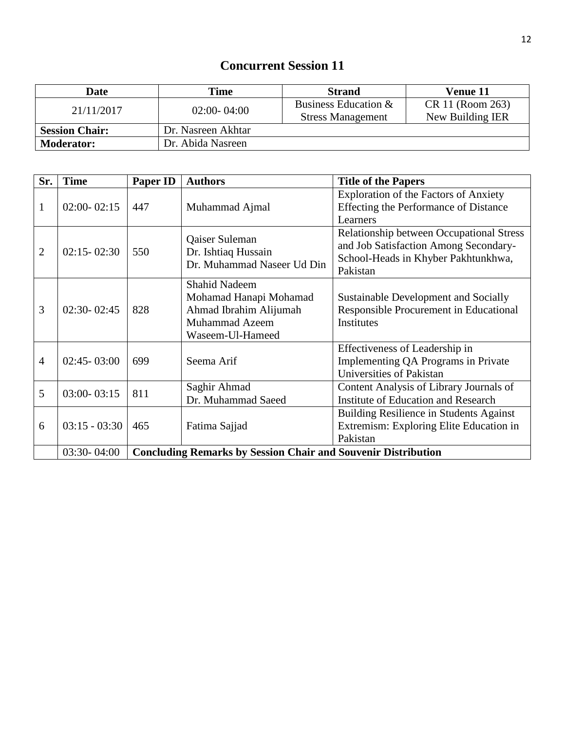| <b>Date</b>           | Time               | <b>Strand</b>            | Venue 11         |
|-----------------------|--------------------|--------------------------|------------------|
| 21/11/2017            | $02:00 - 04:00$    | Business Education &     | CR 11 (Room 263) |
|                       |                    | <b>Stress Management</b> | New Building IER |
| <b>Session Chair:</b> | Dr. Nasreen Akhtar |                          |                  |
| <b>Moderator:</b>     | Dr. Abida Nasreen  |                          |                  |

| Sr.            | <b>Time</b>     | Paper ID                                                             | <b>Authors</b>             | <b>Title of the Papers</b>                      |
|----------------|-----------------|----------------------------------------------------------------------|----------------------------|-------------------------------------------------|
|                |                 |                                                                      |                            | <b>Exploration of the Factors of Anxiety</b>    |
| 1              | $02:00 - 02:15$ | 447                                                                  | Muhammad Ajmal             | Effecting the Performance of Distance           |
|                |                 |                                                                      |                            | Learners                                        |
|                |                 |                                                                      | Qaiser Suleman             | <b>Relationship between Occupational Stress</b> |
| $\overline{2}$ | $02:15 - 02:30$ | 550                                                                  | Dr. Ishtiaq Hussain        | and Job Satisfaction Among Secondary-           |
|                |                 |                                                                      | Dr. Muhammad Naseer Ud Din | School-Heads in Khyber Pakhtunkhwa,             |
|                |                 |                                                                      |                            | Pakistan                                        |
|                |                 |                                                                      | <b>Shahid Nadeem</b>       |                                                 |
|                |                 |                                                                      | Mohamad Hanapi Mohamad     | Sustainable Development and Socially            |
| 3              | $02:30 - 02:45$ | 828                                                                  | Ahmad Ibrahim Alijumah     | Responsible Procurement in Educational          |
|                |                 |                                                                      | <b>Muhammad Azeem</b>      | <b>Institutes</b>                               |
|                |                 |                                                                      | Waseem-Ul-Hameed           |                                                 |
|                |                 |                                                                      |                            | Effectiveness of Leadership in                  |
| $\overline{4}$ | $02:45 - 03:00$ | 699                                                                  | Seema Arif                 | Implementing QA Programs in Private             |
|                |                 |                                                                      |                            | Universities of Pakistan                        |
| 5              | $03:00 - 03:15$ | 811                                                                  | Saghir Ahmad               | Content Analysis of Library Journals of         |
|                |                 |                                                                      | Dr. Muhammad Saeed         | <b>Institute of Education and Research</b>      |
|                |                 |                                                                      |                            | Building Resilience in Students Against         |
| 6              | $03:15 - 03:30$ | 465                                                                  | Fatima Sajjad              | Extremism: Exploring Elite Education in         |
|                |                 |                                                                      |                            | Pakistan                                        |
|                | $03:30 - 04:00$ | <b>Concluding Remarks by Session Chair and Souvenir Distribution</b> |                            |                                                 |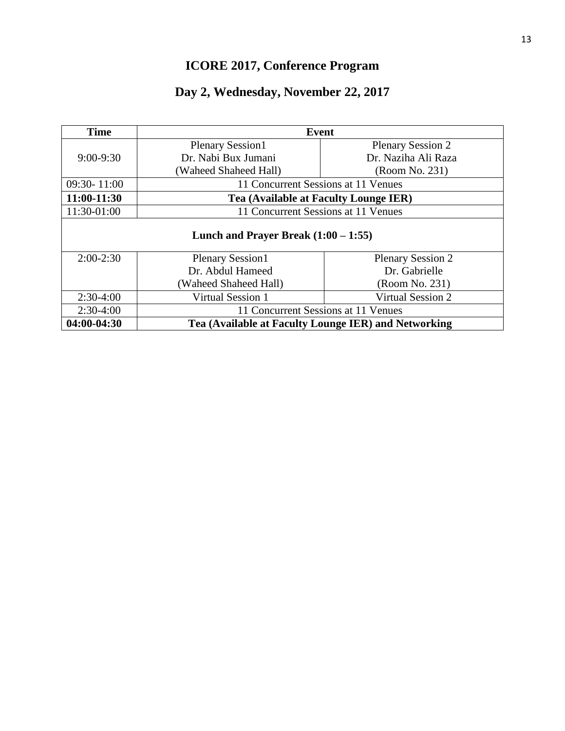# **ICORE 2017, Conference Program**

# **Day 2, Wednesday, November 22, 2017**

| <b>Time</b> | <b>Event</b>                           |                                                      |  |
|-------------|----------------------------------------|------------------------------------------------------|--|
|             | <b>Plenary Session1</b>                | <b>Plenary Session 2</b>                             |  |
| $9:00-9:30$ | Dr. Nabi Bux Jumani                    | Dr. Naziha Ali Raza                                  |  |
|             | (Waheed Shaheed Hall)                  | (Room No. 231)                                       |  |
| 09:30-11:00 | 11 Concurrent Sessions at 11 Venues    |                                                      |  |
| 11:00-11:30 | Tea (Available at Faculty Lounge IER)  |                                                      |  |
| 11:30-01:00 | 11 Concurrent Sessions at 11 Venues    |                                                      |  |
|             | Lunch and Prayer Break $(1:00 - 1:55)$ |                                                      |  |
| $2:00-2:30$ | <b>Plenary Session1</b>                | <b>Plenary Session 2</b>                             |  |
|             | Dr. Abdul Hameed<br>Dr. Gabrielle      |                                                      |  |
|             | (Waheed Shaheed Hall)                  | (Room No. 231)                                       |  |
| $2:30-4:00$ | <b>Virtual Session 1</b>               | <b>Virtual Session 2</b>                             |  |
| $2:30-4:00$ | 11 Concurrent Sessions at 11 Venues    |                                                      |  |
| 04:00-04:30 |                                        | Tea (Available at Faculty Lounge IER) and Networking |  |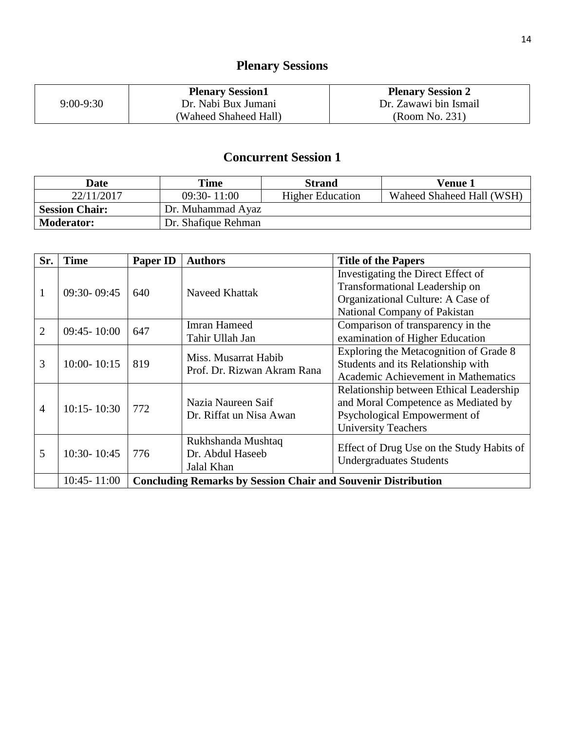# **Plenary Sessions**

|               | <b>Plenary Session1</b> | <b>Plenary Session 2</b> |
|---------------|-------------------------|--------------------------|
| $9:00 - 9:30$ | Dr. Nabi Bux Jumani     | Dr. Zawawi bin Ismail    |
|               | (Waheed Shaheed Hall)   | (Room No. 231)           |

| <b>Date</b>           | <b>Time</b>         | <b>Strand</b>           | Venue 1                   |
|-----------------------|---------------------|-------------------------|---------------------------|
| 22/11/2017            | $09:30 - 11:00$     | <b>Higher Education</b> | Waheed Shaheed Hall (WSH) |
| <b>Session Chair:</b> | Dr. Muhammad Ayaz   |                         |                           |
| <b>Moderator:</b>     | Dr. Shafique Rehman |                         |                           |

| Sr.            | <b>Time</b>     | <b>Paper ID</b>                                                      | <b>Authors</b>                                       | <b>Title of the Papers</b>                                                                                                                   |  |
|----------------|-----------------|----------------------------------------------------------------------|------------------------------------------------------|----------------------------------------------------------------------------------------------------------------------------------------------|--|
| 1              | 09:30-09:45     | 640                                                                  | Naveed Khattak                                       | Investigating the Direct Effect of<br>Transformational Leadership on<br>Organizational Culture: A Case of<br>National Company of Pakistan    |  |
| $\overline{2}$ | $09:45 - 10:00$ | 647                                                                  | <b>Imran Hameed</b><br>Tahir Ullah Jan               | Comparison of transparency in the<br>examination of Higher Education                                                                         |  |
| 3              | $10:00 - 10:15$ | 819                                                                  | Miss. Musarrat Habib<br>Prof. Dr. Rizwan Akram Rana  | Exploring the Metacognition of Grade 8<br>Students and its Relationship with<br>Academic Achievement in Mathematics                          |  |
| 4              | $10:15 - 10:30$ | 772                                                                  | Nazia Naureen Saif<br>Dr. Riffat un Nisa Awan        | Relationship between Ethical Leadership<br>and Moral Competence as Mediated by<br>Psychological Empowerment of<br><b>University Teachers</b> |  |
| 5              | $10:30 - 10:45$ | 776                                                                  | Rukhshanda Mushtaq<br>Dr. Abdul Haseeb<br>Jalal Khan | Effect of Drug Use on the Study Habits of<br><b>Undergraduates Students</b>                                                                  |  |
|                | $10:45 - 11:00$ | <b>Concluding Remarks by Session Chair and Souvenir Distribution</b> |                                                      |                                                                                                                                              |  |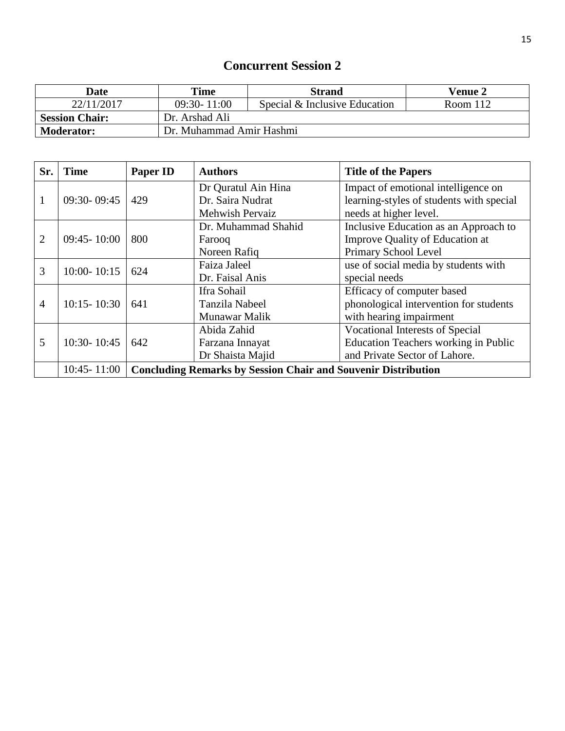| Date                                    | Time                     | <b>Strand</b>                 | <b>Venue 2</b> |
|-----------------------------------------|--------------------------|-------------------------------|----------------|
| 22/11/2017                              | $09:30 - 11:00$          | Special & Inclusive Education | Room $112$     |
| Dr. Arshad Ali<br><b>Session Chair:</b> |                          |                               |                |
| <b>Moderator:</b>                       | Dr. Muhammad Amir Hashmi |                               |                |

| Sr. | <b>Time</b>     | Paper ID                                                             | <b>Authors</b>        | <b>Title of the Papers</b>                  |
|-----|-----------------|----------------------------------------------------------------------|-----------------------|---------------------------------------------|
|     |                 |                                                                      | Dr Quratul Ain Hina   | Impact of emotional intelligence on         |
| 1   | $09:30 - 09:45$ | 429                                                                  | Dr. Saira Nudrat      | learning-styles of students with special    |
|     |                 |                                                                      | Mehwish Pervaiz       | needs at higher level.                      |
|     |                 |                                                                      | Dr. Muhammad Shahid   | Inclusive Education as an Approach to       |
| 2   | $09:45 - 10:00$ | 800                                                                  | Farooq                | Improve Quality of Education at             |
|     |                 |                                                                      | Noreen Rafiq          | Primary School Level                        |
| 3   | $10:00 - 10:15$ | 624                                                                  | Faiza Jaleel          | use of social media by students with        |
|     |                 |                                                                      | Dr. Faisal Anis       | special needs                               |
|     |                 |                                                                      | Ifra Sohail           | Efficacy of computer based                  |
| 4   | $10:15 - 10:30$ | 641                                                                  | <b>Tanzila Nabeel</b> | phonological intervention for students      |
|     |                 |                                                                      | Munawar Malik         | with hearing impairment                     |
|     |                 |                                                                      | Abida Zahid           | <b>Vocational Interests of Special</b>      |
| 5   | 10:30-10:45     | 642                                                                  | Farzana Innayat       | <b>Education Teachers working in Public</b> |
|     |                 |                                                                      | Dr Shaista Majid      | and Private Sector of Lahore.               |
|     | $10:45 - 11:00$ | <b>Concluding Remarks by Session Chair and Souvenir Distribution</b> |                       |                                             |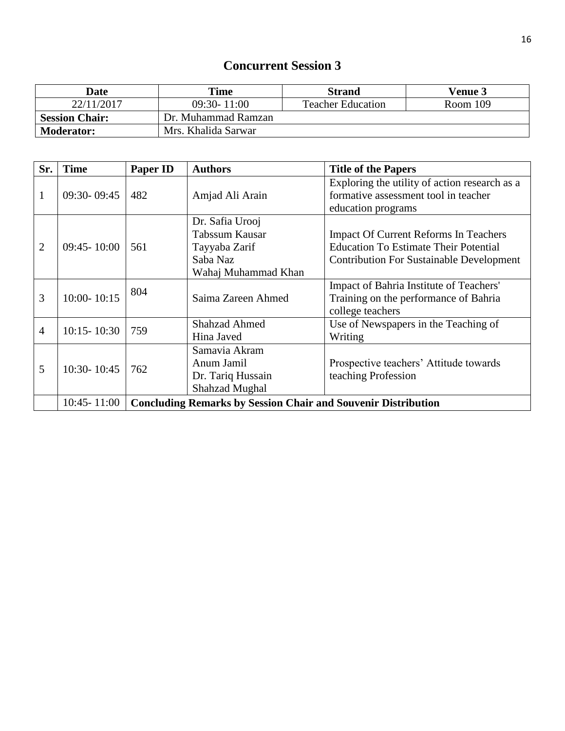| Date                  | Time                | Strand                   | <b>Venue 3</b> |
|-----------------------|---------------------|--------------------------|----------------|
| 22/11/2017            | $09:30 - 11:00$     | <b>Teacher Education</b> | Room 109       |
| <b>Session Chair:</b> | Dr. Muhammad Ramzan |                          |                |
| <b>Moderator:</b>     | Mrs. Khalida Sarwar |                          |                |

| Sr.            | <b>Time</b>     | <b>Paper ID</b>                                                      | <b>Authors</b>                                                                        | <b>Title of the Papers</b>                                                                                                                      |
|----------------|-----------------|----------------------------------------------------------------------|---------------------------------------------------------------------------------------|-------------------------------------------------------------------------------------------------------------------------------------------------|
|                | $09:30 - 09:45$ | 482                                                                  | Amjad Ali Arain                                                                       | Exploring the utility of action research as a<br>formative assessment tool in teacher<br>education programs                                     |
| $\overline{2}$ | $09:45 - 10:00$ | 561                                                                  | Dr. Safia Urooj<br>Tabssum Kausar<br>Tayyaba Zarif<br>Saba Naz<br>Wahaj Muhammad Khan | <b>Impact Of Current Reforms In Teachers</b><br><b>Education To Estimate Their Potential</b><br><b>Contribution For Sustainable Development</b> |
| 3              | $10:00 - 10:15$ | 804                                                                  | Saima Zareen Ahmed                                                                    | Impact of Bahria Institute of Teachers'<br>Training on the performance of Bahria<br>college teachers                                            |
| $\overline{4}$ | $10:15 - 10:30$ | 759                                                                  | <b>Shahzad Ahmed</b><br>Hina Javed                                                    | Use of Newspapers in the Teaching of<br>Writing                                                                                                 |
| 5              | 10:30-10:45     | 762                                                                  | Samavia Akram<br>Anum Jamil<br>Dr. Tariq Hussain<br><b>Shahzad Mughal</b>             | Prospective teachers' Attitude towards<br>teaching Profession                                                                                   |
|                | $10:45 - 11:00$ | <b>Concluding Remarks by Session Chair and Souvenir Distribution</b> |                                                                                       |                                                                                                                                                 |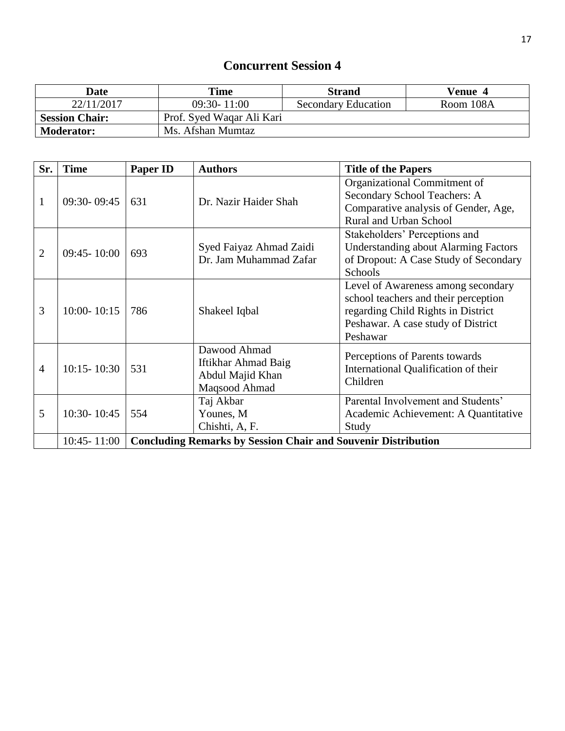| Date                  | Time                      | <b>Strand</b>              | Venue 4   |
|-----------------------|---------------------------|----------------------------|-----------|
| 22/11/2017            | $09:30 - 11:00$           | <b>Secondary Education</b> | Room 108A |
| <b>Session Chair:</b> | Prof. Syed Waqar Ali Kari |                            |           |
| <b>Moderator:</b>     | Ms. Afshan Mumtaz         |                            |           |

| Sr.            | <b>Time</b>     | <b>Paper ID</b>                                                      | <b>Authors</b>                                                           | <b>Title of the Papers</b>                                                                                                                                         |
|----------------|-----------------|----------------------------------------------------------------------|--------------------------------------------------------------------------|--------------------------------------------------------------------------------------------------------------------------------------------------------------------|
| $\mathbf{1}$   | 09:30-09:45     | 631                                                                  | Dr. Nazir Haider Shah                                                    | Organizational Commitment of<br>Secondary School Teachers: A<br>Comparative analysis of Gender, Age,<br>Rural and Urban School                                     |
| $\overline{2}$ | $09:45 - 10:00$ | 693                                                                  | Syed Faiyaz Ahmad Zaidi<br>Dr. Jam Muhammad Zafar                        | Stakeholders' Perceptions and<br><b>Understanding about Alarming Factors</b><br>of Dropout: A Case Study of Secondary<br>Schools                                   |
| 3              | $10:00 - 10:15$ | 786                                                                  | Shakeel Iqbal                                                            | Level of Awareness among secondary<br>school teachers and their perception<br>regarding Child Rights in District<br>Peshawar. A case study of District<br>Peshawar |
| 4              | $10:15 - 10:30$ | 531                                                                  | Dawood Ahmad<br>Iftikhar Ahmad Baig<br>Abdul Majid Khan<br>Maqsood Ahmad | Perceptions of Parents towards<br>International Qualification of their<br>Children                                                                                 |
| 5              | 10:30-10:45     | 554                                                                  | Taj Akbar<br>Younes, M<br>Chishti, A, F.                                 | Parental Involvement and Students'<br>Academic Achievement: A Quantitative<br>Study                                                                                |
|                | $10:45 - 11:00$ | <b>Concluding Remarks by Session Chair and Souvenir Distribution</b> |                                                                          |                                                                                                                                                                    |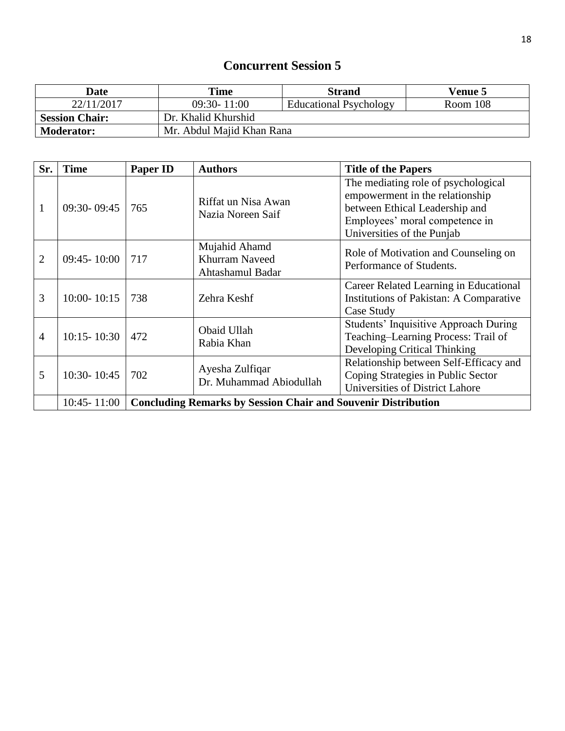| Date                  | Time                      | <b>Strand</b>                 | <b>Venue 5</b> |
|-----------------------|---------------------------|-------------------------------|----------------|
| 22/11/2017            | $09:30 - 11:00$           | <b>Educational Psychology</b> | Room 108       |
| <b>Session Chair:</b> | Dr. Khalid Khurshid       |                               |                |
| <b>Moderator:</b>     | Mr. Abdul Majid Khan Rana |                               |                |

| Sr.            | <b>Time</b>     | <b>Paper ID</b>                                                      | <b>Authors</b>                                             | <b>Title of the Papers</b>                                                                                                                                               |  |
|----------------|-----------------|----------------------------------------------------------------------|------------------------------------------------------------|--------------------------------------------------------------------------------------------------------------------------------------------------------------------------|--|
| 1              | $09:30 - 09:45$ | 765                                                                  | Riffat un Nisa Awan<br>Nazia Noreen Saif                   | The mediating role of psychological<br>empowerment in the relationship<br>between Ethical Leadership and<br>Employees' moral competence in<br>Universities of the Punjab |  |
| $\overline{2}$ | $09:45 - 10:00$ | 717                                                                  | Mujahid Ahamd<br><b>Khurram Naveed</b><br>Ahtashamul Badar | Role of Motivation and Counseling on<br>Performance of Students.                                                                                                         |  |
| 3              | $10:00 - 10:15$ | 738                                                                  | Zehra Keshf                                                | Career Related Learning in Educational<br><b>Institutions of Pakistan: A Comparative</b><br>Case Study                                                                   |  |
| 4              | $10:15 - 10:30$ | 472                                                                  | Obaid Ullah<br>Rabia Khan                                  | Students' Inquisitive Approach During<br>Teaching-Learning Process: Trail of<br>Developing Critical Thinking                                                             |  |
| 5              | $10:30 - 10:45$ | 702                                                                  | Ayesha Zulfiqar<br>Dr. Muhammad Abiodullah                 | Relationship between Self-Efficacy and<br>Coping Strategies in Public Sector<br>Universities of District Lahore                                                          |  |
|                | $10:45 - 11:00$ | <b>Concluding Remarks by Session Chair and Souvenir Distribution</b> |                                                            |                                                                                                                                                                          |  |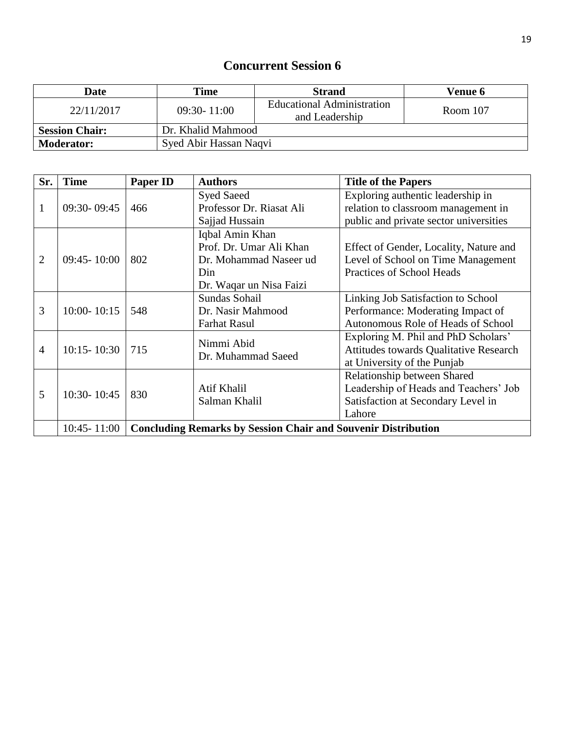| <b>Date</b>                                 | Time                   | <b>Strand</b>                                | <b>Venue 6</b> |
|---------------------------------------------|------------------------|----------------------------------------------|----------------|
| 22/11/2017                                  | $09:30 - 11:00$        | Educational Administration<br>and Leadership | Room $107$     |
| Dr. Khalid Mahmood<br><b>Session Chair:</b> |                        |                                              |                |
| <b>Moderator:</b>                           | Syed Abir Hassan Naqvi |                                              |                |

| Sr.            | <b>Time</b>     | <b>Paper ID</b>                                                      | <b>Authors</b>           | <b>Title of the Papers</b>             |
|----------------|-----------------|----------------------------------------------------------------------|--------------------------|----------------------------------------|
|                |                 |                                                                      | <b>Syed Saeed</b>        | Exploring authentic leadership in      |
| 1              | $09:30 - 09:45$ | 466                                                                  | Professor Dr. Riasat Ali | relation to classroom management in    |
|                |                 |                                                                      | Sajjad Hussain           | public and private sector universities |
|                |                 |                                                                      | Iqbal Amin Khan          |                                        |
|                |                 |                                                                      | Prof. Dr. Umar Ali Khan  | Effect of Gender, Locality, Nature and |
| $\overline{2}$ | $09:45 - 10:00$ | 802                                                                  | Dr. Mohammad Naseer ud   | Level of School on Time Management     |
|                |                 |                                                                      | Din                      | Practices of School Heads              |
|                |                 |                                                                      | Dr. Waqar un Nisa Faizi  |                                        |
|                |                 |                                                                      | Sundas Sohail            | Linking Job Satisfaction to School     |
| 3              | $10:00 - 10:15$ | 548                                                                  | Dr. Nasir Mahmood        | Performance: Moderating Impact of      |
|                |                 |                                                                      | <b>Farhat Rasul</b>      | Autonomous Role of Heads of School     |
|                |                 |                                                                      | Nimmi Abid               | Exploring M. Phil and PhD Scholars'    |
| 4              | $10:15 - 10:30$ | 715                                                                  |                          | Attitudes towards Qualitative Research |
|                |                 |                                                                      | Dr. Muhammad Saeed       | at University of the Punjab            |
|                |                 |                                                                      |                          | Relationship between Shared            |
| 5              |                 |                                                                      | Atif Khalil              | Leadership of Heads and Teachers' Job  |
|                | 10:30-10:45     | 830                                                                  | Salman Khalil            | Satisfaction at Secondary Level in     |
|                |                 |                                                                      |                          | Lahore                                 |
|                | $10:45 - 11:00$ | <b>Concluding Remarks by Session Chair and Souvenir Distribution</b> |                          |                                        |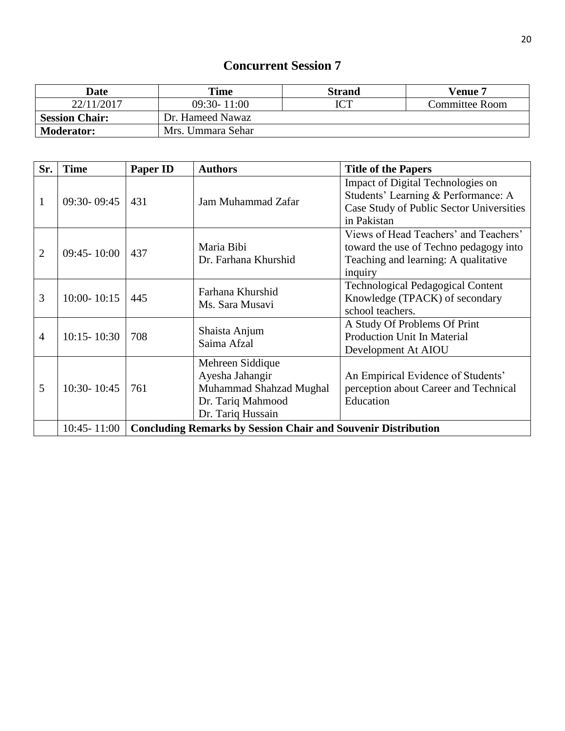| Date                  | Time              | Strand | Venue 7        |
|-----------------------|-------------------|--------|----------------|
| 22/11/2017            | $09:30 - 11:00$   |        | Committee Room |
| <b>Session Chair:</b> | Dr. Hameed Nawaz  |        |                |
| <b>Moderator:</b>     | Mrs. Ummara Sehar |        |                |

| Sr.            | <b>Time</b>     | <b>Paper ID</b>                                                      | <b>Authors</b>                                                                                           | <b>Title of the Papers</b>                                                                                                          |
|----------------|-----------------|----------------------------------------------------------------------|----------------------------------------------------------------------------------------------------------|-------------------------------------------------------------------------------------------------------------------------------------|
| 1              | 09:30-09:45     | 431                                                                  | Jam Muhammad Zafar                                                                                       | Impact of Digital Technologies on<br>Students' Learning & Performance: A<br>Case Study of Public Sector Universities<br>in Pakistan |
| $\overline{2}$ | $09:45 - 10:00$ | 437                                                                  | Maria Bibi<br>Dr. Farhana Khurshid                                                                       | Views of Head Teachers' and Teachers'<br>toward the use of Techno pedagogy into<br>Teaching and learning: A qualitative<br>inquiry  |
| 3              | $10:00 - 10:15$ | 445                                                                  | Farhana Khurshid<br>Ms. Sara Musavi                                                                      | <b>Technological Pedagogical Content</b><br>Knowledge (TPACK) of secondary<br>school teachers.                                      |
| $\overline{4}$ | $10:15 - 10:30$ | 708                                                                  | Shaista Anjum<br>Saima Afzal                                                                             | A Study Of Problems Of Print<br>Production Unit In Material<br>Development At AIOU                                                  |
| 5              | 10:30-10:45     | 761                                                                  | Mehreen Siddique<br>Ayesha Jahangir<br>Muhammad Shahzad Mughal<br>Dr. Tariq Mahmood<br>Dr. Tariq Hussain | An Empirical Evidence of Students'<br>perception about Career and Technical<br>Education                                            |
|                | 10:45 - 11:00   | <b>Concluding Remarks by Session Chair and Souvenir Distribution</b> |                                                                                                          |                                                                                                                                     |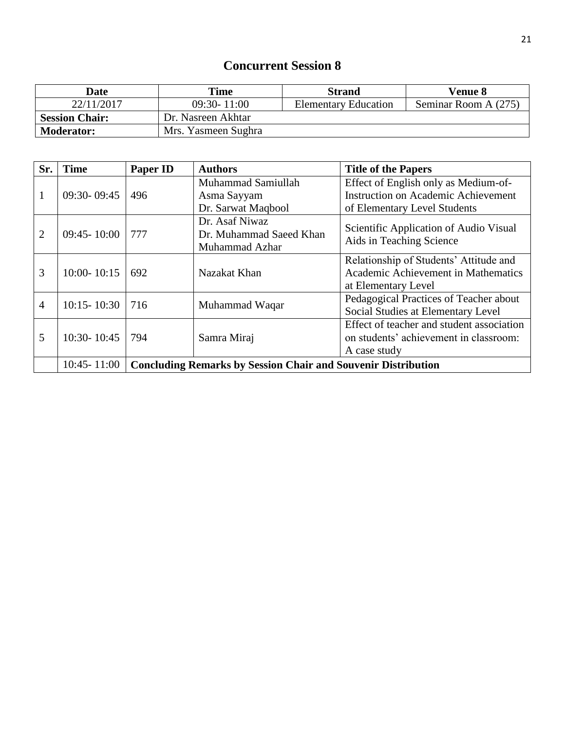| <b>Date</b>           | Time                | <b>Strand</b>               | <b>Venue 8</b>       |
|-----------------------|---------------------|-----------------------------|----------------------|
| 22/11/2017            | $09:30 - 11:00$     | <b>Elementary Education</b> | Seminar Room A (275) |
| <b>Session Chair:</b> | Dr. Nasreen Akhtar  |                             |                      |
| <b>Moderator:</b>     | Mrs. Yasmeen Sughra |                             |                      |

| Sr.            | <b>Time</b>     | <b>Paper ID</b>                                                      | <b>Authors</b>          | <b>Title of the Papers</b>                 |
|----------------|-----------------|----------------------------------------------------------------------|-------------------------|--------------------------------------------|
|                |                 |                                                                      | Muhammad Samiullah      | Effect of English only as Medium-of-       |
|                | $09:30 - 09:45$ | 496                                                                  | Asma Sayyam             | <b>Instruction on Academic Achievement</b> |
|                |                 |                                                                      | Dr. Sarwat Maqbool      | of Elementary Level Students               |
|                |                 |                                                                      | Dr. Asaf Niwaz          | Scientific Application of Audio Visual     |
| 2              | $09:45 - 10:00$ | 777                                                                  | Dr. Muhammad Saeed Khan |                                            |
|                |                 |                                                                      | Muhammad Azhar          | Aids in Teaching Science                   |
|                |                 |                                                                      |                         | Relationship of Students' Attitude and     |
| 3              | $10:00 - 10:15$ | 692                                                                  | Nazakat Khan            | Academic Achievement in Mathematics        |
|                |                 |                                                                      |                         | at Elementary Level                        |
| $\overline{4}$ | $10:15 - 10:30$ | 716                                                                  |                         | Pedagogical Practices of Teacher about     |
|                |                 |                                                                      | Muhammad Waqar          | Social Studies at Elementary Level         |
|                |                 |                                                                      |                         | Effect of teacher and student association  |
| 5              | 10:30-10:45     | 794                                                                  | Samra Miraj             | on students' achievement in classroom:     |
|                |                 |                                                                      |                         | A case study                               |
|                | $10:45 - 11:00$ | <b>Concluding Remarks by Session Chair and Souvenir Distribution</b> |                         |                                            |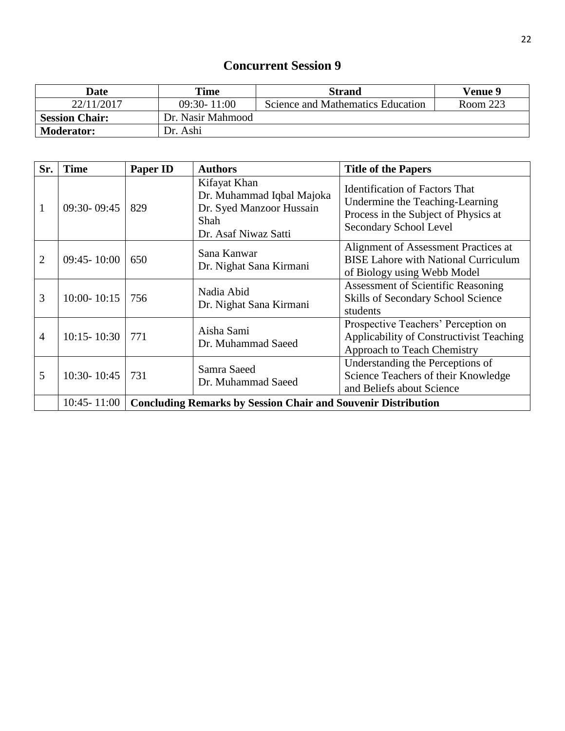| <b>Date</b>           | Time              | <b>Strand</b>                     | <b>Venue 9</b> |
|-----------------------|-------------------|-----------------------------------|----------------|
| 22/11/2017            | $09:30 - 11:00$   | Science and Mathematics Education | Room 223       |
| <b>Session Chair:</b> | Dr. Nasir Mahmood |                                   |                |
| <b>Moderator:</b>     | Dr. Ashi          |                                   |                |

| Sr.            | <b>Time</b>     | <b>Paper ID</b>                                                      | <b>Authors</b>                                                                                        | <b>Title of the Papers</b>                                                                                                                 |
|----------------|-----------------|----------------------------------------------------------------------|-------------------------------------------------------------------------------------------------------|--------------------------------------------------------------------------------------------------------------------------------------------|
| 1              | $09:30 - 09:45$ | 829                                                                  | Kifayat Khan<br>Dr. Muhammad Iqbal Majoka<br>Dr. Syed Manzoor Hussain<br>Shah<br>Dr. Asaf Niwaz Satti | <b>Identification of Factors That</b><br>Undermine the Teaching-Learning<br>Process in the Subject of Physics at<br>Secondary School Level |
| $\overline{2}$ | $09:45 - 10:00$ | 650                                                                  | Sana Kanwar<br>Dr. Nighat Sana Kirmani                                                                | Alignment of Assessment Practices at<br><b>BISE Lahore with National Curriculum</b><br>of Biology using Webb Model                         |
| 3              | $10:00 - 10:15$ | 756                                                                  | Nadia Abid<br>Dr. Nighat Sana Kirmani                                                                 | <b>Assessment of Scientific Reasoning</b><br>Skills of Secondary School Science<br>students                                                |
| $\overline{4}$ | $10:15 - 10:30$ | 771                                                                  | Aisha Sami<br>Dr. Muhammad Saeed                                                                      | Prospective Teachers' Perception on<br>Applicability of Constructivist Teaching<br>Approach to Teach Chemistry                             |
| 5              | $10:30 - 10:45$ | 731                                                                  | Samra Saeed<br>Dr. Muhammad Saeed                                                                     | Understanding the Perceptions of<br>Science Teachers of their Knowledge<br>and Beliefs about Science                                       |
|                | $10:45 - 11:00$ | <b>Concluding Remarks by Session Chair and Souvenir Distribution</b> |                                                                                                       |                                                                                                                                            |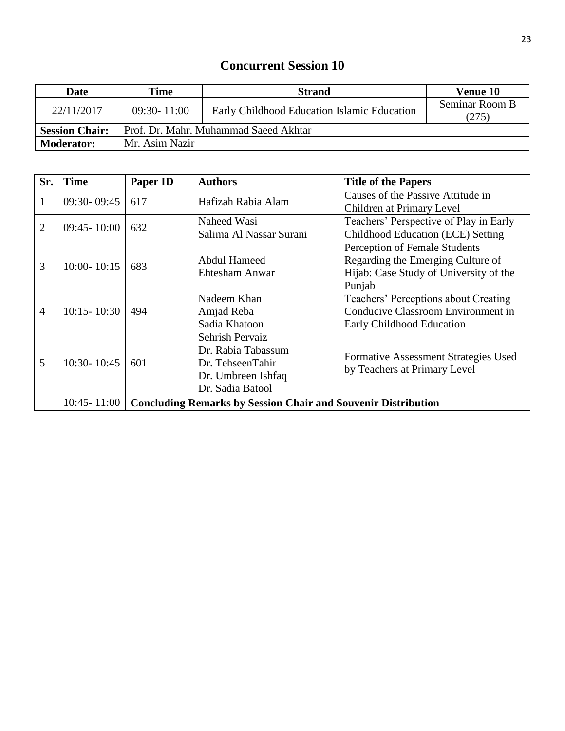| <b>Date</b>           | Time                                  | <b>Strand</b>                               | Venue 10                |  |
|-----------------------|---------------------------------------|---------------------------------------------|-------------------------|--|
| 22/11/2017            | $09:30 - 11:00$                       | Early Childhood Education Islamic Education | Seminar Room B<br>(275) |  |
| <b>Session Chair:</b> | Prof. Dr. Mahr. Muhammad Saeed Akhtar |                                             |                         |  |
| <b>Moderator:</b>     | Mr. Asim Nazir                        |                                             |                         |  |

| Sr.            | <b>Time</b>     | <b>Paper ID</b>                                                      | <b>Authors</b>          | <b>Title of the Papers</b>             |  |
|----------------|-----------------|----------------------------------------------------------------------|-------------------------|----------------------------------------|--|
| 1              | $09:30 - 09:45$ | 617                                                                  | Hafizah Rabia Alam      | Causes of the Passive Attitude in      |  |
|                |                 |                                                                      |                         | Children at Primary Level              |  |
| $\overline{2}$ | $09:45 - 10:00$ | 632                                                                  | Naheed Wasi             | Teachers' Perspective of Play in Early |  |
|                |                 |                                                                      | Salima Al Nassar Surani | Childhood Education (ECE) Setting      |  |
|                |                 |                                                                      |                         | Perception of Female Students          |  |
| 3              |                 |                                                                      | Abdul Hameed            | Regarding the Emerging Culture of      |  |
|                | $10:00 - 10:15$ | 683                                                                  | Ehtesham Anwar          | Hijab: Case Study of University of the |  |
|                |                 |                                                                      |                         | Punjab                                 |  |
|                |                 |                                                                      | Nadeem Khan             | Teachers' Perceptions about Creating   |  |
| $\overline{4}$ | $10:15 - 10:30$ | 494                                                                  | Amjad Reba              | Conducive Classroom Environment in     |  |
|                |                 |                                                                      | Sadia Khatoon           | Early Childhood Education              |  |
|                |                 |                                                                      | Sehrish Pervaiz         |                                        |  |
|                |                 |                                                                      | Dr. Rabia Tabassum      |                                        |  |
| 5              | $10:30 - 10:45$ | 601                                                                  | Dr. TehseenTahir        | Formative Assessment Strategies Used   |  |
|                |                 |                                                                      | Dr. Umbreen Ishfaq      | by Teachers at Primary Level           |  |
|                |                 |                                                                      | Dr. Sadia Batool        |                                        |  |
|                | $10:45 - 11:00$ | <b>Concluding Remarks by Session Chair and Souvenir Distribution</b> |                         |                                        |  |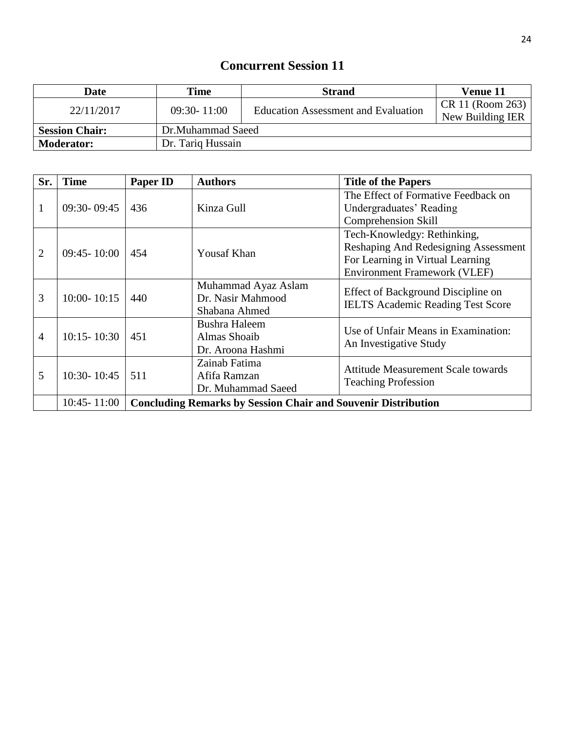| Date                                       | Time            | <b>Strand</b>                              | Venue 11         |
|--------------------------------------------|-----------------|--------------------------------------------|------------------|
| 22/11/2017                                 | $09:30 - 11:00$ | <b>Education Assessment and Evaluation</b> | CR 11 (Room 263) |
|                                            |                 |                                            | New Building IER |
| Dr.Muhammad Saeed<br><b>Session Chair:</b> |                 |                                            |                  |
| Dr. Tariq Hussain<br><b>Moderator:</b>     |                 |                                            |                  |

| Sr.            | <b>Time</b>     | <b>Paper ID</b>                                                      | <b>Authors</b>       | <b>Title of the Papers</b>                |                        |
|----------------|-----------------|----------------------------------------------------------------------|----------------------|-------------------------------------------|------------------------|
|                |                 |                                                                      |                      | The Effect of Formative Feedback on       |                        |
|                | 09:30-09:45     | 436                                                                  | Kinza Gull           | Undergraduates' Reading                   |                        |
|                |                 |                                                                      |                      | <b>Comprehension Skill</b>                |                        |
|                |                 |                                                                      |                      | Tech-Knowledgy: Rethinking,               |                        |
| $\overline{2}$ | $09:45 - 10:00$ | 454                                                                  | <b>Yousaf Khan</b>   | Reshaping And Redesigning Assessment      |                        |
|                |                 |                                                                      |                      | For Learning in Virtual Learning          |                        |
|                |                 |                                                                      |                      | <b>Environment Framework (VLEF)</b>       |                        |
|                |                 |                                                                      | Muhammad Ayaz Aslam  | Effect of Background Discipline on        |                        |
| 3              | $10:00 - 10:15$ | 440                                                                  | Dr. Nasir Mahmood    | <b>IELTS Academic Reading Test Score</b>  |                        |
|                |                 |                                                                      | Shabana Ahmed        |                                           |                        |
|                |                 |                                                                      | <b>Bushra Haleem</b> | Use of Unfair Means in Examination:       |                        |
| $\overline{4}$ | $10:15 - 10:30$ | 451                                                                  | Almas Shoaib         |                                           | An Investigative Study |
|                |                 |                                                                      | Dr. Aroona Hashmi    |                                           |                        |
|                |                 | 511                                                                  | Zainab Fatima        | <b>Attitude Measurement Scale towards</b> |                        |
| 5              | 10:30-10:45     |                                                                      | Afifa Ramzan         | <b>Teaching Profession</b>                |                        |
|                |                 |                                                                      | Dr. Muhammad Saeed   |                                           |                        |
|                | $10:45 - 11:00$ | <b>Concluding Remarks by Session Chair and Souvenir Distribution</b> |                      |                                           |                        |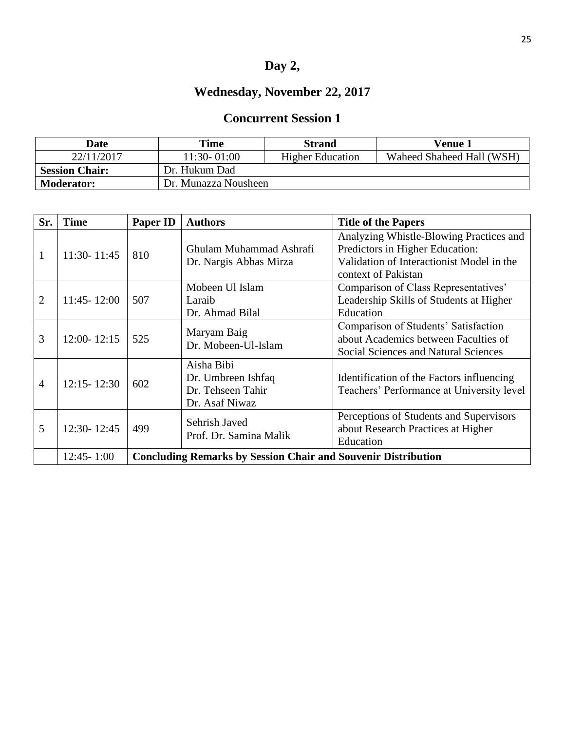# **Day 2,**

# **Wednesday, November 22, 2017**

| Date                  | <b>Time</b>          | <b>Strand</b>           | Venue 1                   |
|-----------------------|----------------------|-------------------------|---------------------------|
| 22/11/2017            | 11:30-01:00          | <b>Higher Education</b> | Waheed Shaheed Hall (WSH) |
| <b>Session Chair:</b> | Dr. Hukum Dad        |                         |                           |
| <b>Moderator:</b>     | Dr. Munazza Nousheen |                         |                           |

| Sr.            | <b>Time</b>     | Paper ID                                                             | <b>Authors</b>                                                          | <b>Title of the Papers</b>                                                                                                                     |
|----------------|-----------------|----------------------------------------------------------------------|-------------------------------------------------------------------------|------------------------------------------------------------------------------------------------------------------------------------------------|
|                | $11:30 - 11:45$ | 810                                                                  | Ghulam Muhammad Ashrafi<br>Dr. Nargis Abbas Mirza                       | Analyzing Whistle-Blowing Practices and<br>Predictors in Higher Education:<br>Validation of Interactionist Model in the<br>context of Pakistan |
| 2              | $11:45 - 12:00$ | 507                                                                  | Mobeen Ul Islam<br>Laraib<br>Dr. Ahmad Bilal                            | Comparison of Class Representatives'<br>Leadership Skills of Students at Higher<br>Education                                                   |
| 3              | $12:00 - 12:15$ | 525                                                                  | Maryam Baig<br>Dr. Mobeen-Ul-Islam                                      | Comparison of Students' Satisfaction<br>about Academics between Faculties of<br><b>Social Sciences and Natural Sciences</b>                    |
| $\overline{4}$ | $12:15 - 12:30$ | 602                                                                  | Aisha Bibi<br>Dr. Umbreen Ishfaq<br>Dr. Tehseen Tahir<br>Dr. Asaf Niwaz | Identification of the Factors influencing<br>Teachers' Performance at University level                                                         |
| 5              | 12:30-12:45     | 499                                                                  | Sehrish Javed<br>Prof. Dr. Samina Malik                                 | Perceptions of Students and Supervisors<br>about Research Practices at Higher<br>Education                                                     |
|                | $12:45 - 1:00$  | <b>Concluding Remarks by Session Chair and Souvenir Distribution</b> |                                                                         |                                                                                                                                                |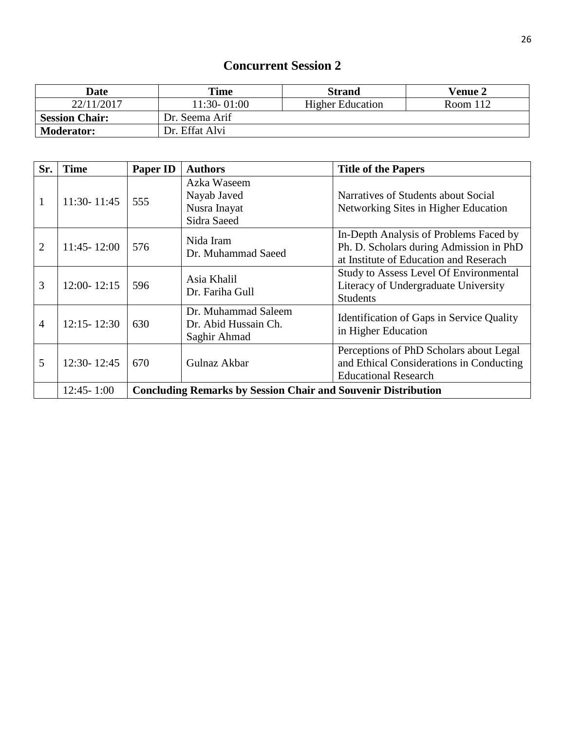| <b>Date</b>           | Time           | <b>Strand</b>           | <b>Venue 2</b> |
|-----------------------|----------------|-------------------------|----------------|
| 22/11/2017            | 11:30-01:00    | <b>Higher Education</b> | Room $112$     |
| <b>Session Chair:</b> | Dr. Seema Arif |                         |                |
| <b>Moderator:</b>     | Dr. Effat Alvi |                         |                |

| Sr.            | <b>Time</b>     | Paper ID                                                             | <b>Authors</b>                                              | <b>Title of the Papers</b>                                                                                                  |
|----------------|-----------------|----------------------------------------------------------------------|-------------------------------------------------------------|-----------------------------------------------------------------------------------------------------------------------------|
| $\mathbf{1}$   | $11:30 - 11:45$ | 555                                                                  | Azka Waseem<br>Nayab Javed<br>Nusra Inayat<br>Sidra Saeed   | Narratives of Students about Social<br>Networking Sites in Higher Education                                                 |
| $\overline{2}$ | $11:45 - 12:00$ | 576                                                                  | Nida Iram<br>Dr. Muhammad Saeed                             | In-Depth Analysis of Problems Faced by<br>Ph. D. Scholars during Admission in PhD<br>at Institute of Education and Reserach |
| 3              | $12:00 - 12:15$ | 596                                                                  | Asia Khalil<br>Dr. Fariha Gull                              | <b>Study to Assess Level Of Environmental</b><br>Literacy of Undergraduate University<br><b>Students</b>                    |
| 4              | $12:15 - 12:30$ | 630                                                                  | Dr. Muhammad Saleem<br>Dr. Abid Hussain Ch.<br>Saghir Ahmad | Identification of Gaps in Service Quality<br>in Higher Education                                                            |
| 5              | 12:30-12:45     | 670                                                                  | Gulnaz Akbar                                                | Perceptions of PhD Scholars about Legal<br>and Ethical Considerations in Conducting<br><b>Educational Research</b>          |
|                | $12:45 - 1:00$  | <b>Concluding Remarks by Session Chair and Souvenir Distribution</b> |                                                             |                                                                                                                             |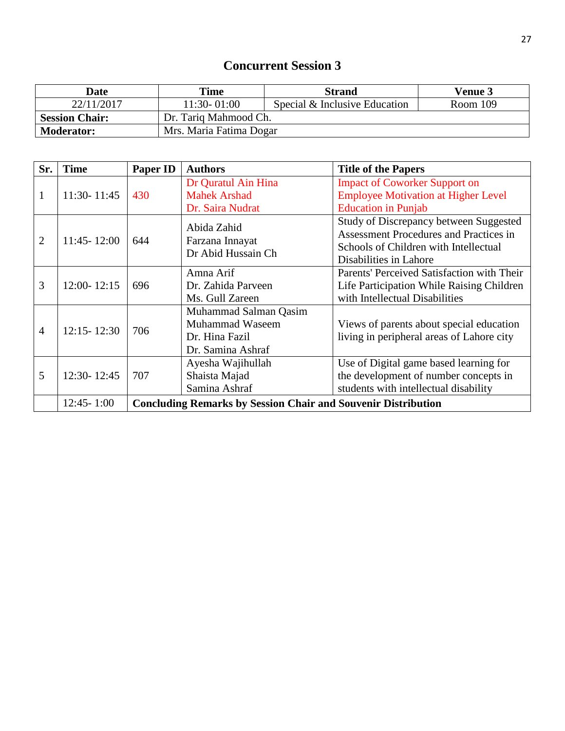| <b>Date</b>           | Time                    | <b>Strand</b>                 | <b>Venue 3</b> |
|-----------------------|-------------------------|-------------------------------|----------------|
| 22/11/2017            | 11:30-01:00             | Special & Inclusive Education | Room 109       |
| <b>Session Chair:</b> | Dr. Tariq Mahmood Ch.   |                               |                |
| <b>Moderator:</b>     | Mrs. Maria Fatima Dogar |                               |                |

| Sr.            | <b>Time</b>     | <b>Paper ID</b>                                                      | <b>Authors</b>        | <b>Title of the Papers</b>                    |
|----------------|-----------------|----------------------------------------------------------------------|-----------------------|-----------------------------------------------|
|                |                 |                                                                      | Dr Quratul Ain Hina   | <b>Impact of Coworker Support on</b>          |
| $\mathbf{1}$   | 11:30-11:45     | 430                                                                  | <b>Mahek Arshad</b>   | <b>Employee Motivation at Higher Level</b>    |
|                |                 |                                                                      | Dr. Saira Nudrat      | <b>Education in Punjab</b>                    |
|                |                 |                                                                      | Abida Zahid           | <b>Study of Discrepancy between Suggested</b> |
| $\overline{2}$ | $11:45 - 12:00$ | 644                                                                  | Farzana Innayat       | Assessment Procedures and Practices in        |
|                |                 |                                                                      | Dr Abid Hussain Ch    | Schools of Children with Intellectual         |
|                |                 |                                                                      |                       | Disabilities in Lahore                        |
|                |                 |                                                                      | Amna Arif             | Parents' Perceived Satisfaction with Their    |
| 3              | $12:00 - 12:15$ | 696                                                                  | Dr. Zahida Parveen    | Life Participation While Raising Children     |
|                |                 |                                                                      | Ms. Gull Zareen       | with Intellectual Disabilities                |
|                |                 |                                                                      | Muhammad Salman Qasim |                                               |
| $\overline{4}$ | $12:15 - 12:30$ | 706                                                                  | Muhammad Waseem       | Views of parents about special education      |
|                |                 |                                                                      | Dr. Hina Fazil        | living in peripheral areas of Lahore city     |
|                |                 |                                                                      | Dr. Samina Ashraf     |                                               |
|                |                 |                                                                      | Ayesha Wajihullah     | Use of Digital game based learning for        |
| 5              | 12:30-12:45     | 707                                                                  | Shaista Majad         | the development of number concepts in         |
|                |                 |                                                                      | Samina Ashraf         | students with intellectual disability         |
|                | $12:45 - 1:00$  | <b>Concluding Remarks by Session Chair and Souvenir Distribution</b> |                       |                                               |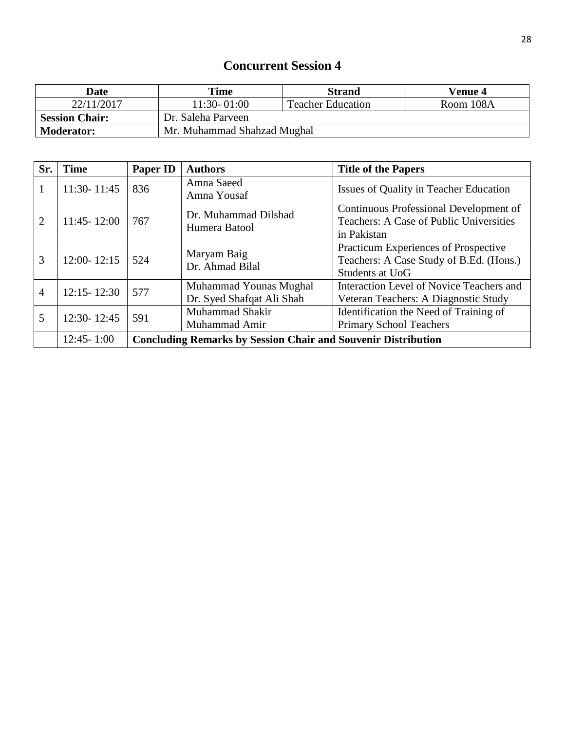| Date                  | Time                        | <b>Strand</b>            | Venue 4   |
|-----------------------|-----------------------------|--------------------------|-----------|
| 22/11/2017            | 11:30-01:00                 | <b>Teacher Education</b> | Room 108A |
| <b>Session Chair:</b> | Dr. Saleha Parveen          |                          |           |
| <b>Moderator:</b>     | Mr. Muhammad Shahzad Mughal |                          |           |

| Sr.            | <b>Time</b>     | Paper ID                                                             | <b>Authors</b>                                      | <b>Title of the Papers</b>                                                                         |
|----------------|-----------------|----------------------------------------------------------------------|-----------------------------------------------------|----------------------------------------------------------------------------------------------------|
| 1              | $11:30 - 11:45$ | 836                                                                  | Amna Saeed<br>Amna Yousaf                           | Issues of Quality in Teacher Education                                                             |
| $\overline{2}$ | $11:45 - 12:00$ | 767                                                                  | Dr. Muhammad Dilshad<br>Humera Batool               | Continuous Professional Development of<br>Teachers: A Case of Public Universities<br>in Pakistan   |
| 3              | $12:00 - 12:15$ | 524                                                                  | Maryam Baig<br>Dr. Ahmad Bilal                      | Practicum Experiences of Prospective<br>Teachers: A Case Study of B.Ed. (Hons.)<br>Students at UoG |
| $\overline{4}$ | $12:15 - 12:30$ | 577                                                                  | Muhammad Younas Mughal<br>Dr. Syed Shafqat Ali Shah | Interaction Level of Novice Teachers and<br>Veteran Teachers: A Diagnostic Study                   |
| 5              | 12:30-12:45     | 591                                                                  | Muhammad Shakir<br>Muhammad Amir                    | Identification the Need of Training of<br><b>Primary School Teachers</b>                           |
|                | $12:45 - 1:00$  | <b>Concluding Remarks by Session Chair and Souvenir Distribution</b> |                                                     |                                                                                                    |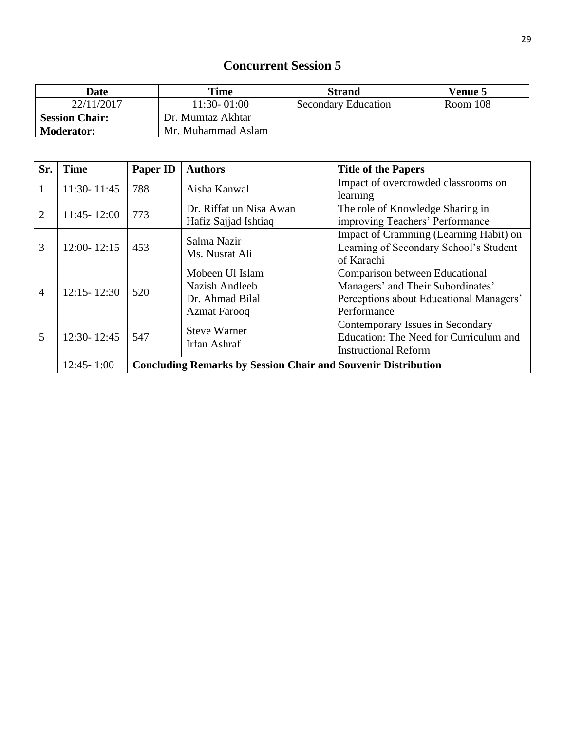| <b>Date</b>           | Time               | <b>Strand</b>              | <b>Venue 5</b> |
|-----------------------|--------------------|----------------------------|----------------|
| 22/11/2017            | 11:30-01:00        | <b>Secondary Education</b> | Room 108       |
| <b>Session Chair:</b> | Dr. Mumtaz Akhtar  |                            |                |
| <b>Moderator:</b>     | Mr. Muhammad Aslam |                            |                |

| Sr.            | <b>Time</b>     | Paper ID                                                             | <b>Authors</b>                                                              | <b>Title of the Papers</b>                                                                                                    |
|----------------|-----------------|----------------------------------------------------------------------|-----------------------------------------------------------------------------|-------------------------------------------------------------------------------------------------------------------------------|
| 1              | $11:30 - 11:45$ | 788                                                                  | Aisha Kanwal                                                                | Impact of overcrowded classrooms on<br>learning                                                                               |
| 2              | $11:45 - 12:00$ | 773                                                                  | Dr. Riffat un Nisa Awan<br>Hafiz Sajjad Ishtiaq                             | The role of Knowledge Sharing in<br>improving Teachers' Performance                                                           |
| 3              | $12:00 - 12:15$ | 453                                                                  | Salma Nazir<br>Ms. Nusrat Ali                                               | Impact of Cramming (Learning Habit) on<br>Learning of Secondary School's Student<br>of Karachi                                |
| $\overline{4}$ | $12:15 - 12:30$ | 520                                                                  | Mobeen Ul Islam<br>Nazish Andleeb<br>Dr. Ahmad Bilal<br><b>Azmat Farooq</b> | Comparison between Educational<br>Managers' and Their Subordinates'<br>Perceptions about Educational Managers'<br>Performance |
| 5              | $12:30 - 12:45$ | 547                                                                  | <b>Steve Warner</b><br>Irfan Ashraf                                         | Contemporary Issues in Secondary<br>Education: The Need for Curriculum and<br><b>Instructional Reform</b>                     |
|                | $12:45 - 1:00$  | <b>Concluding Remarks by Session Chair and Souvenir Distribution</b> |                                                                             |                                                                                                                               |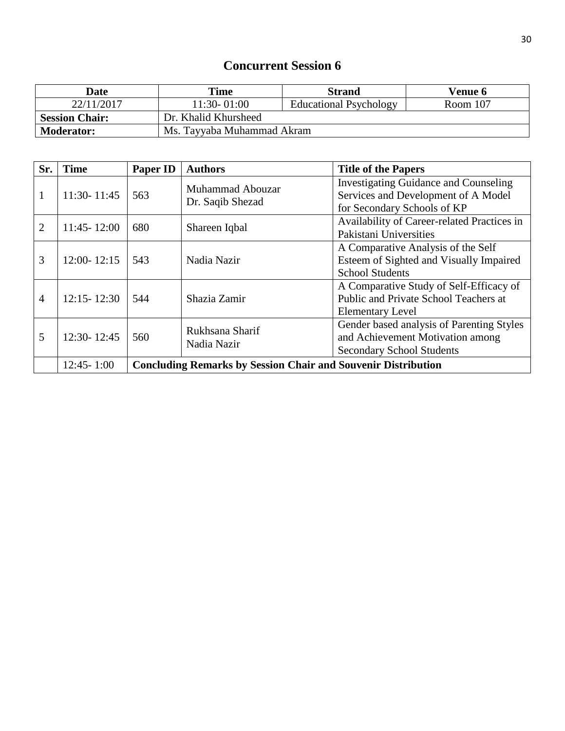| Date                  | Time                       | <b>Strand</b>                 | <b>Venue 6</b> |
|-----------------------|----------------------------|-------------------------------|----------------|
| 22/11/2017            | 11:30-01:00                | <b>Educational Psychology</b> | Room 107       |
| <b>Session Chair:</b> | Dr. Khalid Khursheed       |                               |                |
| <b>Moderator:</b>     | Ms. Tayyaba Muhammad Akram |                               |                |

| Sr.            | <b>Time</b>     | Paper ID                                                             | <b>Authors</b>                       | <b>Title of the Papers</b>                                                                                         |
|----------------|-----------------|----------------------------------------------------------------------|--------------------------------------|--------------------------------------------------------------------------------------------------------------------|
| 1              | $11:30 - 11:45$ | 563                                                                  | Muhammad Abouzar<br>Dr. Saqib Shezad | <b>Investigating Guidance and Counseling</b><br>Services and Development of A Model<br>for Secondary Schools of KP |
| $\overline{2}$ | $11:45 - 12:00$ | 680                                                                  | Shareen Iqbal                        | Availability of Career-related Practices in<br>Pakistani Universities                                              |
| 3              | $12:00 - 12:15$ | 543                                                                  | Nadia Nazir                          | A Comparative Analysis of the Self<br>Esteem of Sighted and Visually Impaired<br><b>School Students</b>            |
| $\overline{4}$ | $12:15 - 12:30$ | 544                                                                  | Shazia Zamir                         | A Comparative Study of Self-Efficacy of<br>Public and Private School Teachers at<br><b>Elementary Level</b>        |
| 5              | $12:30 - 12:45$ | 560                                                                  | Rukhsana Sharif<br>Nadia Nazir       | Gender based analysis of Parenting Styles<br>and Achievement Motivation among<br><b>Secondary School Students</b>  |
|                | $12:45 - 1:00$  | <b>Concluding Remarks by Session Chair and Souvenir Distribution</b> |                                      |                                                                                                                    |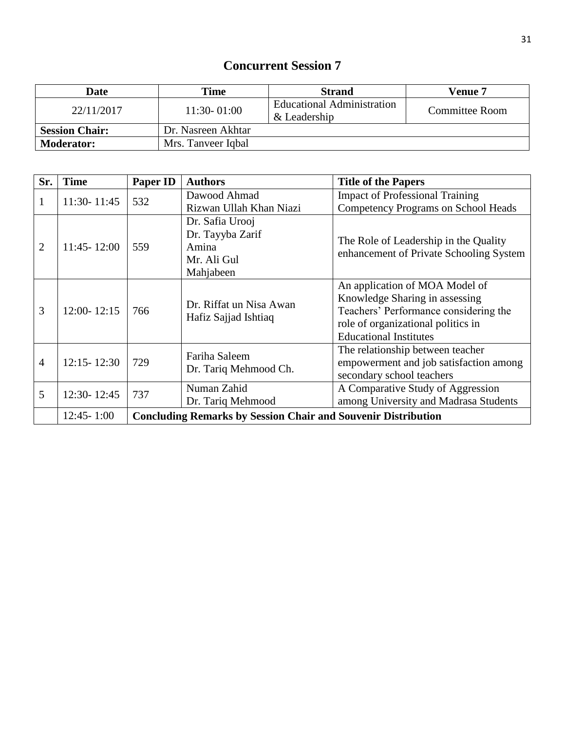| <b>Date</b>           | Time               | <b>Strand</b>                              | Venue 7        |
|-----------------------|--------------------|--------------------------------------------|----------------|
| 22/11/2017            | $11:30 - 01:00$    | Educational Administration<br>& Leadership | Committee Room |
| <b>Session Chair:</b> | Dr. Nasreen Akhtar |                                            |                |
| <b>Moderator:</b>     | Mrs. Tanveer Iqbal |                                            |                |

| Sr.            | <b>Time</b>     | <b>Paper ID</b>                                                      | <b>Authors</b>                                                           | <b>Title of the Papers</b>                                                                                                                                                       |  |
|----------------|-----------------|----------------------------------------------------------------------|--------------------------------------------------------------------------|----------------------------------------------------------------------------------------------------------------------------------------------------------------------------------|--|
| 1              | 11:30-11:45     | 532                                                                  | Dawood Ahmad                                                             | <b>Impact of Professional Training</b>                                                                                                                                           |  |
|                |                 |                                                                      | Rizwan Ullah Khan Niazi                                                  | <b>Competency Programs on School Heads</b>                                                                                                                                       |  |
| $\overline{2}$ | $11:45 - 12:00$ | 559                                                                  | Dr. Safia Urooj<br>Dr. Tayyba Zarif<br>Amina<br>Mr. Ali Gul<br>Mahjabeen | The Role of Leadership in the Quality<br>enhancement of Private Schooling System                                                                                                 |  |
| 3              | 12:00-12:15     | 766                                                                  | Dr. Riffat un Nisa Awan<br>Hafiz Sajjad Ishtiaq                          | An application of MOA Model of<br>Knowledge Sharing in assessing<br>Teachers' Performance considering the<br>role of organizational politics in<br><b>Educational Institutes</b> |  |
| 4              | $12:15 - 12:30$ | 729                                                                  | Fariha Saleem<br>Dr. Tariq Mehmood Ch.                                   | The relationship between teacher<br>empowerment and job satisfaction among<br>secondary school teachers                                                                          |  |
| 5              | 12:30-12:45     | 737                                                                  | Numan Zahid<br>Dr. Tariq Mehmood                                         | A Comparative Study of Aggression<br>among University and Madrasa Students                                                                                                       |  |
|                | $12:45 - 1:00$  | <b>Concluding Remarks by Session Chair and Souvenir Distribution</b> |                                                                          |                                                                                                                                                                                  |  |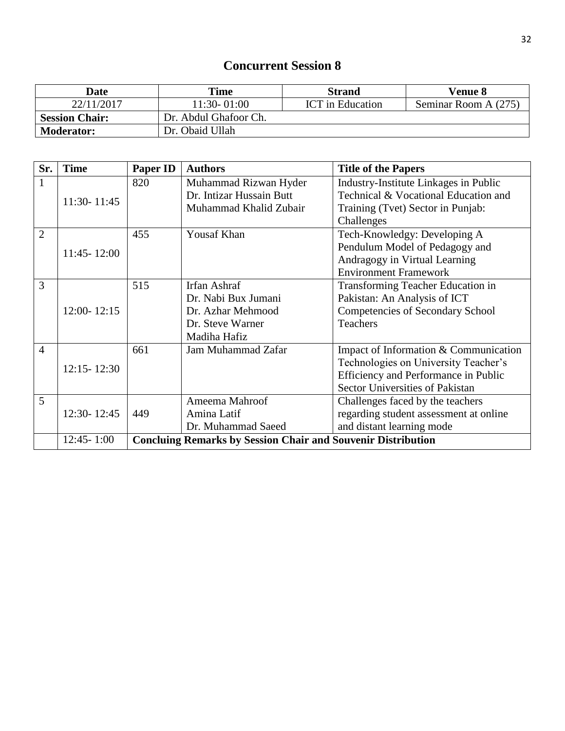| Date                  | Time                  | <b>Strand</b>           | <b>Venue 8</b>       |
|-----------------------|-----------------------|-------------------------|----------------------|
| 22/11/2017            | 11:30-01:00           | <b>ICT</b> in Education | Seminar Room A (275) |
| <b>Session Chair:</b> | Dr. Abdul Ghafoor Ch. |                         |                      |
| <b>Moderator:</b>     | Dr. Obaid Ullah       |                         |                      |

| Sr.            | <b>Time</b>     | <b>Paper ID</b> | <b>Authors</b>                                                      | <b>Title of the Papers</b>             |  |  |
|----------------|-----------------|-----------------|---------------------------------------------------------------------|----------------------------------------|--|--|
| $\mathbf{1}$   |                 | 820             | Muhammad Rizwan Hyder                                               | Industry-Institute Linkages in Public  |  |  |
|                | 11:30-11:45     |                 | Dr. Intizar Hussain Butt                                            | Technical & Vocational Education and   |  |  |
|                |                 |                 | Muhammad Khalid Zubair                                              | Training (Tvet) Sector in Punjab:      |  |  |
|                |                 |                 |                                                                     | Challenges                             |  |  |
| $\overline{2}$ |                 | 455             | <b>Yousaf Khan</b>                                                  | Tech-Knowledgy: Developing A           |  |  |
|                | 11:45-12:00     |                 |                                                                     | Pendulum Model of Pedagogy and         |  |  |
|                |                 |                 |                                                                     | Andragogy in Virtual Learning          |  |  |
|                |                 |                 |                                                                     | <b>Environment Framework</b>           |  |  |
| 3              |                 | 515             | Irfan Ashraf                                                        | Transforming Teacher Education in      |  |  |
|                |                 |                 | Dr. Nabi Bux Jumani                                                 | Pakistan: An Analysis of ICT           |  |  |
|                | $12:00 - 12:15$ |                 | Dr. Azhar Mehmood                                                   | Competencies of Secondary School       |  |  |
|                |                 |                 | Dr. Steve Warner                                                    | <b>Teachers</b>                        |  |  |
|                |                 |                 | Madiha Hafiz                                                        |                                        |  |  |
| $\overline{4}$ |                 | 661             | Jam Muhammad Zafar                                                  | Impact of Information & Communication  |  |  |
|                | $12:15 - 12:30$ |                 |                                                                     | Technologies on University Teacher's   |  |  |
|                |                 |                 |                                                                     | Efficiency and Performance in Public   |  |  |
|                |                 |                 |                                                                     | Sector Universities of Pakistan        |  |  |
| 5              |                 |                 | Ameema Mahroof                                                      | Challenges faced by the teachers       |  |  |
|                | $12:30 - 12:45$ | 449             | Amina Latif                                                         | regarding student assessment at online |  |  |
|                |                 |                 | Dr. Muhammad Saeed                                                  | and distant learning mode              |  |  |
|                | $12:45 - 1:00$  |                 | <b>Concluing Remarks by Session Chair and Souvenir Distribution</b> |                                        |  |  |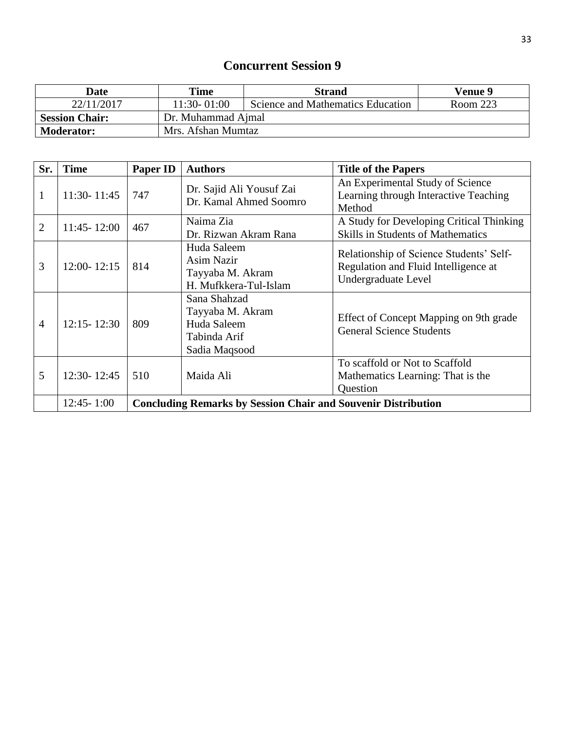| <b>Date</b>           | <b>Time</b>        | <b>Strand</b>                     | Venue 9  |  |  |
|-----------------------|--------------------|-----------------------------------|----------|--|--|
| 22/11/2017            | $11:30 - 01:00$    | Science and Mathematics Education | Room 223 |  |  |
| <b>Session Chair:</b> | Dr. Muhammad Ajmal |                                   |          |  |  |
| <b>Moderator:</b>     | Mrs. Afshan Mumtaz |                                   |          |  |  |

| Sr.            | <b>Time</b>     | <b>Paper ID</b>                                                      | <b>Authors</b>                                                                   | <b>Title of the Papers</b>                                                                             |
|----------------|-----------------|----------------------------------------------------------------------|----------------------------------------------------------------------------------|--------------------------------------------------------------------------------------------------------|
| 1              | $11:30 - 11:45$ | 747                                                                  | Dr. Sajid Ali Yousuf Zai<br>Dr. Kamal Ahmed Soomro                               | An Experimental Study of Science<br>Learning through Interactive Teaching<br>Method                    |
| $\overline{2}$ | $11:45 - 12:00$ | 467                                                                  | Naima Zia<br>Dr. Rizwan Akram Rana                                               | A Study for Developing Critical Thinking<br><b>Skills in Students of Mathematics</b>                   |
| 3              | $12:00 - 12:15$ | 814                                                                  | Huda Saleem<br>Asim Nazir<br>Tayyaba M. Akram<br>H. Mufkkera-Tul-Islam           | Relationship of Science Students' Self-<br>Regulation and Fluid Intelligence at<br>Undergraduate Level |
| $\overline{4}$ | $12:15 - 12:30$ | 809                                                                  | Sana Shahzad<br>Tayyaba M. Akram<br>Huda Saleem<br>Tabinda Arif<br>Sadia Maqsood | Effect of Concept Mapping on 9th grade<br><b>General Science Students</b>                              |
| 5              | $12:30 - 12:45$ | 510                                                                  | Maida Ali                                                                        | To scaffold or Not to Scaffold<br>Mathematics Learning: That is the<br><b>Ouestion</b>                 |
|                | $12:45 - 1:00$  | <b>Concluding Remarks by Session Chair and Souvenir Distribution</b> |                                                                                  |                                                                                                        |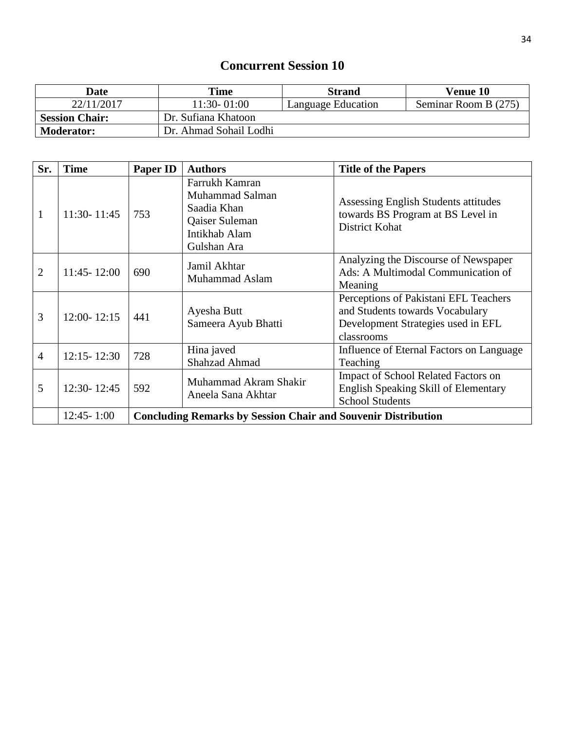| <b>Date</b>           | Time                   | <b>Strand</b>      | <b>Venue 10</b>      |
|-----------------------|------------------------|--------------------|----------------------|
| 22/11/2017            | 11:30-01:00            | Language Education | Seminar Room B (275) |
| <b>Session Chair:</b> | Dr. Sufiana Khatoon    |                    |                      |
| <b>Moderator:</b>     | Dr. Ahmad Sohail Lodhi |                    |                      |

| Sr.            | <b>Time</b>     | <b>Paper ID</b>                                                      | <b>Authors</b>                                                                                     | <b>Title of the Papers</b>                                                                                                   |  |
|----------------|-----------------|----------------------------------------------------------------------|----------------------------------------------------------------------------------------------------|------------------------------------------------------------------------------------------------------------------------------|--|
| $\mathbf{1}$   | 11:30-11:45     | 753                                                                  | Farrukh Kamran<br>Muhammad Salman<br>Saadia Khan<br>Qaiser Suleman<br>Intikhab Alam<br>Gulshan Ara | Assessing English Students attitudes<br>towards BS Program at BS Level in<br><b>District Kohat</b>                           |  |
| $\overline{2}$ | $11:45 - 12:00$ | 690                                                                  | Jamil Akhtar<br>Muhammad Aslam                                                                     | Analyzing the Discourse of Newspaper<br>Ads: A Multimodal Communication of<br>Meaning                                        |  |
| $\overline{3}$ | $12:00 - 12:15$ | 441                                                                  | Ayesha Butt<br>Sameera Ayub Bhatti                                                                 | Perceptions of Pakistani EFL Teachers<br>and Students towards Vocabulary<br>Development Strategies used in EFL<br>classrooms |  |
| $\overline{4}$ | $12:15 - 12:30$ | 728                                                                  | Hina javed<br><b>Shahzad Ahmad</b>                                                                 | Influence of Eternal Factors on Language<br>Teaching                                                                         |  |
| 5              | 12:30-12:45     | 592                                                                  | Muhammad Akram Shakir<br>Aneela Sana Akhtar                                                        | Impact of School Related Factors on<br><b>English Speaking Skill of Elementary</b><br><b>School Students</b>                 |  |
|                | $12:45 - 1:00$  | <b>Concluding Remarks by Session Chair and Souvenir Distribution</b> |                                                                                                    |                                                                                                                              |  |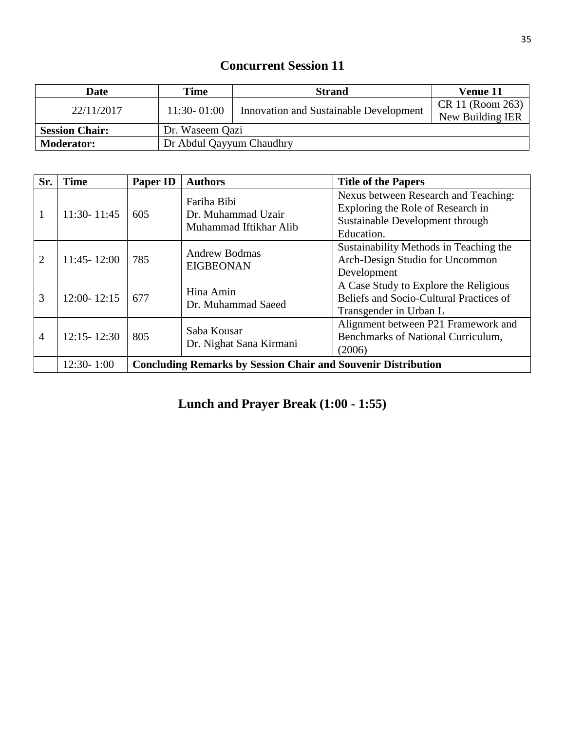| <b>Date</b>           | Time                     | <b>Strand</b>                                 | Venue 11                             |  |
|-----------------------|--------------------------|-----------------------------------------------|--------------------------------------|--|
| 22/11/2017            | $11:30 - 01:00$          | <b>Innovation and Sustainable Development</b> | CR 11 (Room 263)<br>New Building IER |  |
| <b>Session Chair:</b> | Dr. Waseem Qazi          |                                               |                                      |  |
| <b>Moderator:</b>     | Dr Abdul Qayyum Chaudhry |                                               |                                      |  |

| Sr.            | <b>Time</b>     | Paper ID                                                             | <b>Authors</b>                                              | <b>Title of the Papers</b>                                                                                                 |  |
|----------------|-----------------|----------------------------------------------------------------------|-------------------------------------------------------------|----------------------------------------------------------------------------------------------------------------------------|--|
| 1              | 11:30-11:45     | 605                                                                  | Fariha Bibi<br>Dr. Muhammad Uzair<br>Muhammad Iftikhar Alib | Nexus between Research and Teaching:<br>Exploring the Role of Research in<br>Sustainable Development through<br>Education. |  |
| $\overline{2}$ | $11:45 - 12:00$ | 785                                                                  | <b>Andrew Bodmas</b><br><b>EIGBEONAN</b>                    | Sustainability Methods in Teaching the<br>Arch-Design Studio for Uncommon<br>Development                                   |  |
| 3              | $12:00 - 12:15$ | 677                                                                  | Hina Amin<br>Dr. Muhammad Saeed                             | A Case Study to Explore the Religious<br>Beliefs and Socio-Cultural Practices of<br>Transgender in Urban L                 |  |
| $\overline{4}$ | $12:15 - 12:30$ | 805                                                                  | Saba Kousar<br>Dr. Nighat Sana Kirmani                      | Alignment between P21 Framework and<br>Benchmarks of National Curriculum,<br>(2006)                                        |  |
|                | $12:30 - 1:00$  | <b>Concluding Remarks by Session Chair and Souvenir Distribution</b> |                                                             |                                                                                                                            |  |

**Lunch and Prayer Break (1:00 - 1:55)**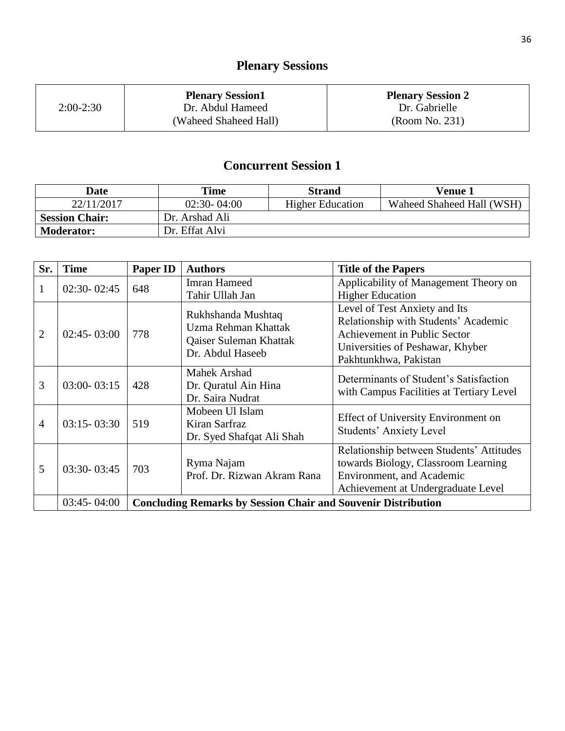# **Plenary Sessions**

|             | <b>Plenary Session1</b> | <b>Plenary Session 2</b> |
|-------------|-------------------------|--------------------------|
| $2:00-2:30$ | Dr. Abdul Hameed        | Dr. Gabrielle            |
|             | (Waheed Shaheed Hall)   | (Room No. 231)           |

| Date                  | Time            | <b>Strand</b>           | Venue 1                   |
|-----------------------|-----------------|-------------------------|---------------------------|
| 22/11/2017            | $02:30 - 04:00$ | <b>Higher Education</b> | Waheed Shaheed Hall (WSH) |
| <b>Session Chair:</b> | Dr. Arshad Ali  |                         |                           |
| <b>Moderator:</b>     | Dr. Effat Alvi  |                         |                           |

| Sr.            | <b>Time</b>                                                                             | Paper ID | <b>Authors</b>                                                                          | <b>Title of the Papers</b>                                                                                                                                         |
|----------------|-----------------------------------------------------------------------------------------|----------|-----------------------------------------------------------------------------------------|--------------------------------------------------------------------------------------------------------------------------------------------------------------------|
| 1              | $02:30 - 02:45$                                                                         | 648      | <b>Imran Hameed</b><br>Tahir Ullah Jan                                                  | Applicability of Management Theory on<br><b>Higher Education</b>                                                                                                   |
| $\overline{2}$ | $02:45 - 03:00$                                                                         | 778      | Rukhshanda Mushtaq<br>Uzma Rehman Khattak<br>Qaiser Suleman Khattak<br>Dr. Abdul Haseeb | Level of Test Anxiety and Its<br>Relationship with Students' Academic<br>Achievement in Public Sector<br>Universities of Peshawar, Khyber<br>Pakhtunkhwa, Pakistan |
| 3              | $03:00 - 03:15$                                                                         | 428      | <b>Mahek Arshad</b><br>Dr. Quratul Ain Hina<br>Dr. Saira Nudrat                         | Determinants of Student's Satisfaction<br>with Campus Facilities at Tertiary Level                                                                                 |
| 4              | $03:15 - 03:30$                                                                         | 519      | Mobeen Ul Islam<br>Kiran Sarfraz<br>Dr. Syed Shafqat Ali Shah                           | <b>Effect of University Environment on</b><br><b>Students' Anxiety Level</b>                                                                                       |
| 5              | $03:30 - 03:45$                                                                         | 703      | Ryma Najam<br>Prof. Dr. Rizwan Akram Rana                                               | Relationship between Students' Attitudes<br>towards Biology, Classroom Learning<br>Environment, and Academic<br>Achievement at Undergraduate Level                 |
|                | <b>Concluding Remarks by Session Chair and Souvenir Distribution</b><br>$03:45 - 04:00$ |          |                                                                                         |                                                                                                                                                                    |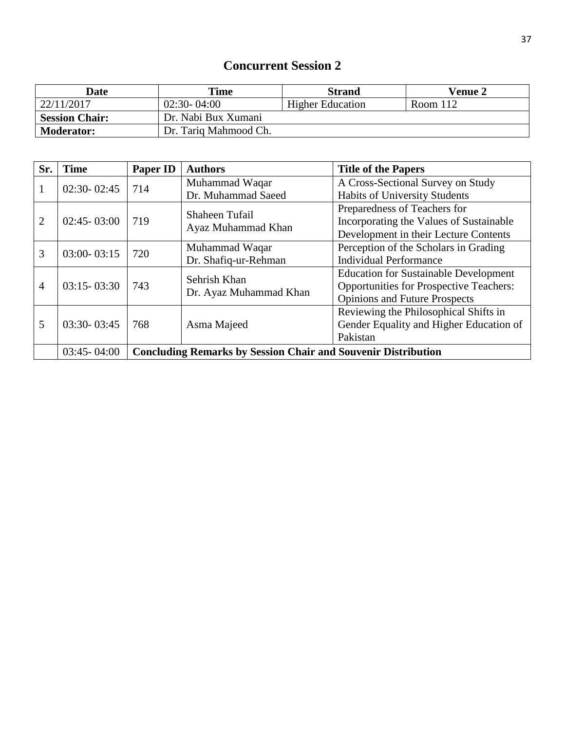| Date                  | Time                  | <b>Strand</b>           | <b>Venue 2</b> |
|-----------------------|-----------------------|-------------------------|----------------|
| 22/11/2017            | $02:30 - 04:00$       | <b>Higher Education</b> | Room 112       |
| <b>Session Chair:</b> | Dr. Nabi Bux Xumani   |                         |                |
| <b>Moderator:</b>     | Dr. Tariq Mahmood Ch. |                         |                |

| Sr.                               | <b>Time</b>                                                                             | Paper ID | <b>Authors</b>                          | <b>Title of the Papers</b>                     |
|-----------------------------------|-----------------------------------------------------------------------------------------|----------|-----------------------------------------|------------------------------------------------|
| 1                                 | $02:30 - 02:45$                                                                         | 714      | Muhammad Waqar                          | A Cross-Sectional Survey on Study              |
|                                   |                                                                                         |          | Dr. Muhammad Saeed                      | <b>Habits of University Students</b>           |
|                                   |                                                                                         |          | Shaheen Tufail                          | Preparedness of Teachers for                   |
| $\overline{2}$<br>$02:45 - 03:00$ | 719                                                                                     |          | Incorporating the Values of Sustainable |                                                |
|                                   |                                                                                         |          | Ayaz Muhammad Khan                      | Development in their Lecture Contents          |
| 3                                 | $03:00 - 03:15$                                                                         | 720      | Muhammad Waqar                          | Perception of the Scholars in Grading          |
|                                   |                                                                                         |          | Dr. Shafiq-ur-Rehman                    | <b>Individual Performance</b>                  |
|                                   |                                                                                         |          | Sehrish Khan                            | <b>Education for Sustainable Development</b>   |
| $\overline{4}$                    | $03:15 - 03:30$                                                                         | 743      | Dr. Ayaz Muhammad Khan                  | <b>Opportunities for Prospective Teachers:</b> |
|                                   |                                                                                         |          |                                         | <b>Opinions and Future Prospects</b>           |
|                                   |                                                                                         |          |                                         | Reviewing the Philosophical Shifts in          |
| 5                                 | $03:30 - 03:45$                                                                         | 768      | Asma Majeed                             | Gender Equality and Higher Education of        |
|                                   |                                                                                         |          |                                         | Pakistan                                       |
|                                   | <b>Concluding Remarks by Session Chair and Souvenir Distribution</b><br>$03:45 - 04:00$ |          |                                         |                                                |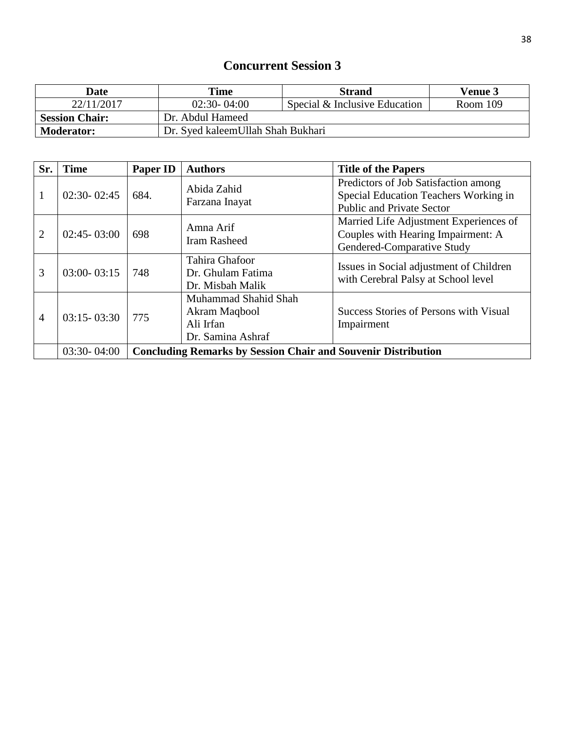| <b>Date</b>                                             | Time             | <b>Strand</b>                 | <b>Venue 3</b> |
|---------------------------------------------------------|------------------|-------------------------------|----------------|
| 22/11/2017                                              | $02:30 - 04:00$  | Special & Inclusive Education | Room 109       |
| <b>Session Chair:</b>                                   | Dr. Abdul Hameed |                               |                |
| Dr. Syed kaleem Ullah Shah Bukhari<br><b>Moderator:</b> |                  |                               |                |

| Sr.            | <b>Time</b>     | Paper ID                                                             | <b>Authors</b>                                                          | <b>Title of the Papers</b>                                                                                        |
|----------------|-----------------|----------------------------------------------------------------------|-------------------------------------------------------------------------|-------------------------------------------------------------------------------------------------------------------|
| 1              | $02:30 - 02:45$ | 684.                                                                 | Abida Zahid<br>Farzana Inayat                                           | Predictors of Job Satisfaction among<br>Special Education Teachers Working in<br><b>Public and Private Sector</b> |
| $\overline{2}$ | $02:45 - 03:00$ | 698                                                                  | Amna Arif<br><b>Iram Rasheed</b>                                        | Married Life Adjustment Experiences of<br>Couples with Hearing Impairment: A<br>Gendered-Comparative Study        |
| 3              | $03:00 - 03:15$ | 748                                                                  | Tahira Ghafoor<br>Dr. Ghulam Fatima<br>Dr. Misbah Malik                 | Issues in Social adjustment of Children<br>with Cerebral Palsy at School level                                    |
| $\overline{4}$ | $03:15 - 03:30$ | 775                                                                  | Muhammad Shahid Shah<br>Akram Maqbool<br>Ali Irfan<br>Dr. Samina Ashraf | Success Stories of Persons with Visual<br>Impairment                                                              |
|                | $03:30 - 04:00$ | <b>Concluding Remarks by Session Chair and Souvenir Distribution</b> |                                                                         |                                                                                                                   |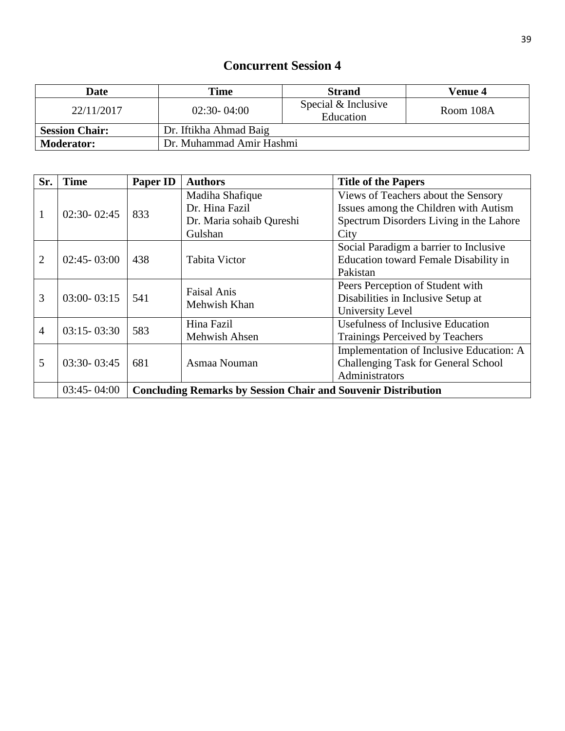| <b>Date</b>           | Time                     | <b>Strand</b>                    | Venue 4   |
|-----------------------|--------------------------|----------------------------------|-----------|
| 22/11/2017            | $02:30 - 04:00$          | Special & Inclusive<br>Education | Room 108A |
| <b>Session Chair:</b> | Dr. Iftikha Ahmad Baig   |                                  |           |
| <b>Moderator:</b>     | Dr. Muhammad Amir Hashmi |                                  |           |

| Sr.            | <b>Time</b>     | Paper ID                                                             | <b>Authors</b>                     | <b>Title of the Papers</b>               |
|----------------|-----------------|----------------------------------------------------------------------|------------------------------------|------------------------------------------|
|                |                 |                                                                      | Madiha Shafique                    | Views of Teachers about the Sensory      |
| 1              | $02:30 - 02:45$ | 833                                                                  | Dr. Hina Fazil                     | Issues among the Children with Autism    |
|                |                 |                                                                      | Dr. Maria sohaib Qureshi           | Spectrum Disorders Living in the Lahore  |
|                |                 |                                                                      | Gulshan                            | City                                     |
|                |                 |                                                                      |                                    | Social Paradigm a barrier to Inclusive   |
| 2              | $02:45 - 03:00$ | 438                                                                  | <b>Tabita Victor</b>               | Education toward Female Disability in    |
|                |                 |                                                                      |                                    | Pakistan                                 |
|                |                 | 541                                                                  | <b>Faisal Anis</b><br>Mehwish Khan | Peers Perception of Student with         |
| 3              | $03:00 - 03:15$ |                                                                      |                                    | Disabilities in Inclusive Setup at       |
|                |                 |                                                                      |                                    | University Level                         |
| $\overline{4}$ | $03:15 - 03:30$ | 583                                                                  | Hina Fazil                         | <b>Usefulness of Inclusive Education</b> |
|                |                 |                                                                      | Mehwish Ahsen                      | <b>Trainings Perceived by Teachers</b>   |
|                |                 |                                                                      |                                    | Implementation of Inclusive Education: A |
| 5              | $03:30 - 03:45$ | 681                                                                  | Asmaa Nouman                       | Challenging Task for General School      |
|                |                 |                                                                      |                                    | Administrators                           |
|                | $03:45 - 04:00$ | <b>Concluding Remarks by Session Chair and Souvenir Distribution</b> |                                    |                                          |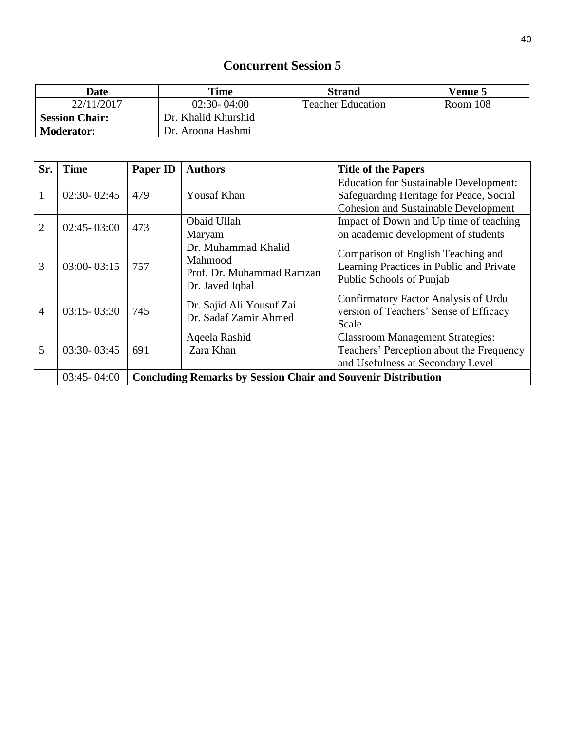| <b>Date</b>           | Time                | <b>Strand</b>            | <b>Venue 5</b> |
|-----------------------|---------------------|--------------------------|----------------|
| 22/11/2017            | $02:30 - 04:00$     | <b>Teacher Education</b> | Room 108       |
| <b>Session Chair:</b> | Dr. Khalid Khurshid |                          |                |
| <b>Moderator:</b>     | Dr. Aroona Hashmi   |                          |                |

| Sr.            | <b>Time</b>                                                                             | <b>Paper ID</b> | <b>Authors</b>                                                                 | <b>Title of the Papers</b>                                                                                                              |
|----------------|-----------------------------------------------------------------------------------------|-----------------|--------------------------------------------------------------------------------|-----------------------------------------------------------------------------------------------------------------------------------------|
| 1              | $02:30 - 02:45$                                                                         | 479             | <b>Yousaf Khan</b>                                                             | <b>Education for Sustainable Development:</b><br>Safeguarding Heritage for Peace, Social<br><b>Cohesion and Sustainable Development</b> |
| $\overline{2}$ | $02:45 - 03:00$                                                                         | 473             | Obaid Ullah<br>Maryam                                                          | Impact of Down and Up time of teaching<br>on academic development of students                                                           |
| 3              | $03:00 - 03:15$                                                                         | 757             | Dr. Muhammad Khalid<br>Mahmood<br>Prof. Dr. Muhammad Ramzan<br>Dr. Javed Iqbal | Comparison of English Teaching and<br>Learning Practices in Public and Private<br>Public Schools of Punjab                              |
| $\overline{4}$ | $03:15 - 03:30$                                                                         | 745             | Dr. Sajid Ali Yousuf Zai<br>Dr. Sadaf Zamir Ahmed                              | Confirmatory Factor Analysis of Urdu<br>version of Teachers' Sense of Efficacy<br>Scale                                                 |
| 5              | $03:30 - 03:45$                                                                         | 691             | Aqeela Rashid<br>Zara Khan                                                     | <b>Classroom Management Strategies:</b><br>Teachers' Perception about the Frequency<br>and Usefulness at Secondary Level                |
|                | $03:45 - 04:00$<br><b>Concluding Remarks by Session Chair and Souvenir Distribution</b> |                 |                                                                                |                                                                                                                                         |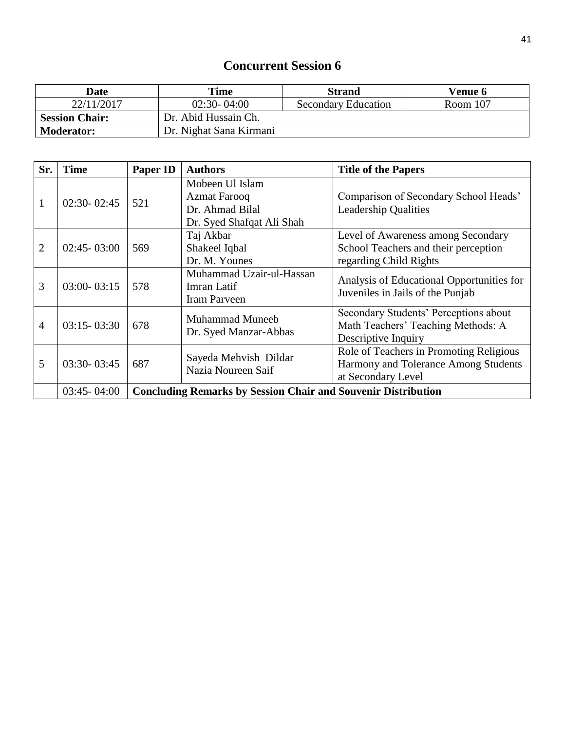| <b>Date</b>           | Time                    | <b>Strand</b>              | Venue 6  |
|-----------------------|-------------------------|----------------------------|----------|
| 22/11/2017            | $02:30 - 04:00$         | <b>Secondary Education</b> | Room 107 |
| <b>Session Chair:</b> | Dr. Abid Hussain Ch.    |                            |          |
| <b>Moderator:</b>     | Dr. Nighat Sana Kirmani |                            |          |

| Sr.            | <b>Time</b>     | Paper ID                                                             | <b>Authors</b>                                                                         | <b>Title of the Papers</b>                                                                            |
|----------------|-----------------|----------------------------------------------------------------------|----------------------------------------------------------------------------------------|-------------------------------------------------------------------------------------------------------|
| $\mathbf{1}$   | $02:30 - 02:45$ | 521                                                                  | Mobeen Ul Islam<br><b>Azmat Farooq</b><br>Dr. Ahmad Bilal<br>Dr. Syed Shafqat Ali Shah | Comparison of Secondary School Heads'<br><b>Leadership Qualities</b>                                  |
| $\overline{2}$ | $02:45 - 03:00$ | 569                                                                  | Taj Akbar<br>Shakeel Iqbal<br>Dr. M. Younes                                            | Level of Awareness among Secondary<br>School Teachers and their perception<br>regarding Child Rights  |
| 3              | $03:00 - 03:15$ | 578                                                                  | Muhammad Uzair-ul-Hassan<br>Imran Latif<br><b>Iram Parveen</b>                         | Analysis of Educational Opportunities for<br>Juveniles in Jails of the Punjab                         |
| $\overline{4}$ | $03:15 - 03:30$ | 678                                                                  | <b>Muhammad Muneeb</b><br>Dr. Syed Manzar-Abbas                                        | Secondary Students' Perceptions about<br>Math Teachers' Teaching Methods: A<br>Descriptive Inquiry    |
| 5              | $03:30 - 03:45$ | 687                                                                  | Sayeda Mehvish Dildar<br>Nazia Noureen Saif                                            | Role of Teachers in Promoting Religious<br>Harmony and Tolerance Among Students<br>at Secondary Level |
|                | $03:45 - 04:00$ | <b>Concluding Remarks by Session Chair and Souvenir Distribution</b> |                                                                                        |                                                                                                       |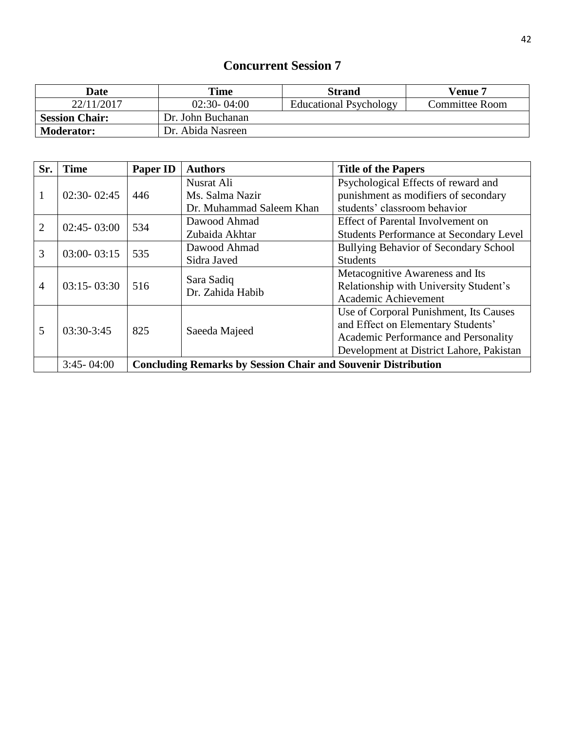| Date                  | Time              | <b>Strand</b>                 | <b>Venue 7</b>        |
|-----------------------|-------------------|-------------------------------|-----------------------|
| 22/11/2017            | $02:30 - 04:00$   | <b>Educational Psychology</b> | <b>Committee Room</b> |
| <b>Session Chair:</b> | Dr. John Buchanan |                               |                       |
| <b>Moderator:</b>     | Dr. Abida Nasreen |                               |                       |

| Sr.                               | <b>Time</b>     | Paper ID                                                             | <b>Authors</b>                 | <b>Title of the Papers</b>                     |
|-----------------------------------|-----------------|----------------------------------------------------------------------|--------------------------------|------------------------------------------------|
|                                   |                 |                                                                      | Nusrat Ali                     | Psychological Effects of reward and            |
| 1                                 | $02:30 - 02:45$ | 446                                                                  | Ms. Salma Nazir                | punishment as modifiers of secondary           |
|                                   |                 |                                                                      | Dr. Muhammad Saleem Khan       | students' classroom behavior                   |
|                                   |                 | 534                                                                  | Dawood Ahmad                   | Effect of Parental Involvement on              |
| $\overline{2}$<br>$02:45 - 03:00$ |                 |                                                                      | Zubaida Akhtar                 | <b>Students Performance at Secondary Level</b> |
| 3                                 | $03:00 - 03:15$ | 535                                                                  | Dawood Ahmad                   | Bullying Behavior of Secondary School          |
|                                   |                 |                                                                      | Sidra Javed                    | <b>Students</b>                                |
|                                   |                 |                                                                      |                                | Metacognitive Awareness and Its                |
| $\overline{4}$                    | $03:15 - 03:30$ | 516                                                                  | Sara Sadiq<br>Dr. Zahida Habib | Relationship with University Student's         |
|                                   |                 |                                                                      |                                | Academic Achievement                           |
|                                   |                 |                                                                      |                                | Use of Corporal Punishment, Its Causes         |
| 5                                 | $03:30-3:45$    | 825                                                                  |                                | and Effect on Elementary Students'             |
|                                   |                 |                                                                      | Saeeda Majeed                  | Academic Performance and Personality           |
|                                   |                 |                                                                      |                                | Development at District Lahore, Pakistan       |
|                                   | $3:45 - 04:00$  | <b>Concluding Remarks by Session Chair and Souvenir Distribution</b> |                                |                                                |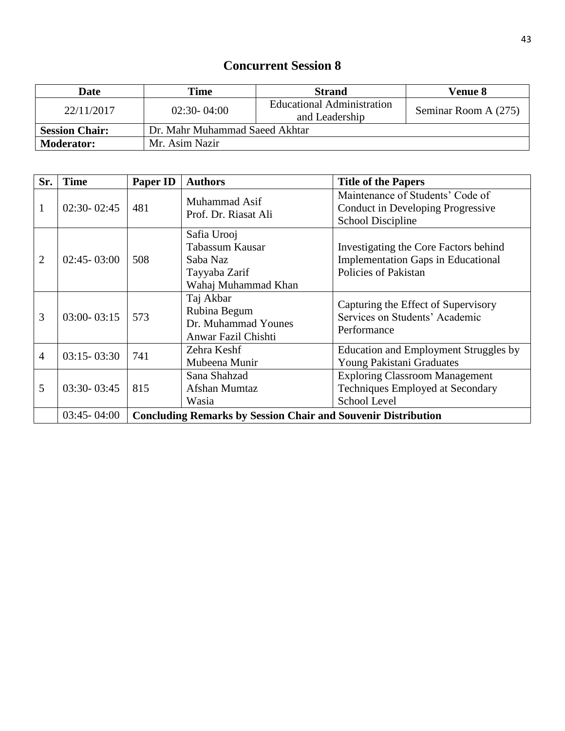| Date                  | Time                           | <b>Strand</b>                                | <b>Venue 8</b>       |
|-----------------------|--------------------------------|----------------------------------------------|----------------------|
| 22/11/2017            | $02:30 - 04:00$                | Educational Administration<br>and Leadership | Seminar Room A (275) |
| <b>Session Chair:</b> | Dr. Mahr Muhammad Saeed Akhtar |                                              |                      |
| <b>Moderator:</b>     | Mr. Asim Nazir                 |                                              |                      |

| Sr.            | <b>Time</b>     | Paper ID                                                             | <b>Authors</b>                                                                     | <b>Title of the Papers</b>                                                                                 |
|----------------|-----------------|----------------------------------------------------------------------|------------------------------------------------------------------------------------|------------------------------------------------------------------------------------------------------------|
| 1              | $02:30 - 02:45$ | 481                                                                  | Muhammad Asif<br>Prof. Dr. Riasat Ali                                              | Maintenance of Students' Code of<br>Conduct in Developing Progressive<br>School Discipline                 |
| $\overline{2}$ | $02:45 - 03:00$ | 508                                                                  | Safia Urooj<br>Tabassum Kausar<br>Saba Naz<br>Tayyaba Zarif<br>Wahaj Muhammad Khan | Investigating the Core Factors behind<br><b>Implementation Gaps in Educational</b><br>Policies of Pakistan |
| 3              | $03:00 - 03:15$ | 573                                                                  | Taj Akbar<br>Rubina Begum<br>Dr. Muhammad Younes<br>Anwar Fazil Chishti            | Capturing the Effect of Supervisory<br>Services on Students' Academic<br>Performance                       |
| 4              | $03:15 - 03:30$ | 741                                                                  | Zehra Keshf<br>Mubeena Munir                                                       | Education and Employment Struggles by<br>Young Pakistani Graduates                                         |
| 5              | $03:30 - 03:45$ | 815                                                                  | Sana Shahzad<br>Afshan Mumtaz<br>Wasia                                             | <b>Exploring Classroom Management</b><br>Techniques Employed at Secondary<br><b>School Level</b>           |
|                | $03:45 - 04:00$ | <b>Concluding Remarks by Session Chair and Souvenir Distribution</b> |                                                                                    |                                                                                                            |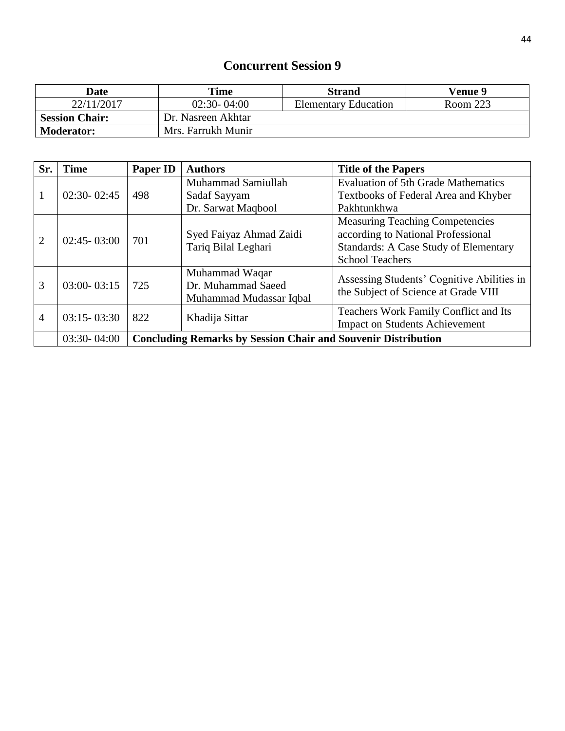| <b>Date</b>           | Time               | <b>Strand</b>               | <b>Venue 9</b> |
|-----------------------|--------------------|-----------------------------|----------------|
| 22/11/2017            | $02:30 - 04:00$    | <b>Elementary Education</b> | Room 223       |
| <b>Session Chair:</b> | Dr. Nasreen Akhtar |                             |                |
| <b>Moderator:</b>     | Mrs. Farrukh Munir |                             |                |

| Sr.                               | <b>Time</b>     | Paper ID                                                                                     | <b>Authors</b>                     | <b>Title of the Papers</b>                   |
|-----------------------------------|-----------------|----------------------------------------------------------------------------------------------|------------------------------------|----------------------------------------------|
|                                   |                 |                                                                                              | Muhammad Samiullah                 | <b>Evaluation of 5th Grade Mathematics</b>   |
| 1                                 | $02:30 - 02:45$ | 498                                                                                          | Sadaf Sayyam                       | Textbooks of Federal Area and Khyber         |
|                                   |                 |                                                                                              | Dr. Sarwat Maqbool                 | Pakhtunkhwa                                  |
|                                   |                 |                                                                                              |                                    | <b>Measuring Teaching Competencies</b>       |
| $\overline{2}$<br>$02:45 - 03:00$ | 701             | Syed Faiyaz Ahmad Zaidi                                                                      | according to National Professional |                                              |
|                                   |                 |                                                                                              | Tariq Bilal Leghari                | <b>Standards: A Case Study of Elementary</b> |
|                                   |                 |                                                                                              |                                    | <b>School Teachers</b>                       |
|                                   |                 |                                                                                              | Muhammad Waqar                     | Assessing Students' Cognitive Abilities in   |
| 3                                 | $03:00 - 03:15$ | Dr. Muhammad Saeed<br>725<br>the Subject of Science at Grade VIII<br>Muhammad Mudassar Iqbal |                                    |                                              |
|                                   |                 |                                                                                              |                                    |                                              |
| $\overline{4}$                    | $03:15 - 03:30$ | 822                                                                                          |                                    | Teachers Work Family Conflict and Its        |
|                                   |                 |                                                                                              | Khadija Sittar                     | <b>Impact on Students Achievement</b>        |
|                                   | $03:30 - 04:00$ | <b>Concluding Remarks by Session Chair and Souvenir Distribution</b>                         |                                    |                                              |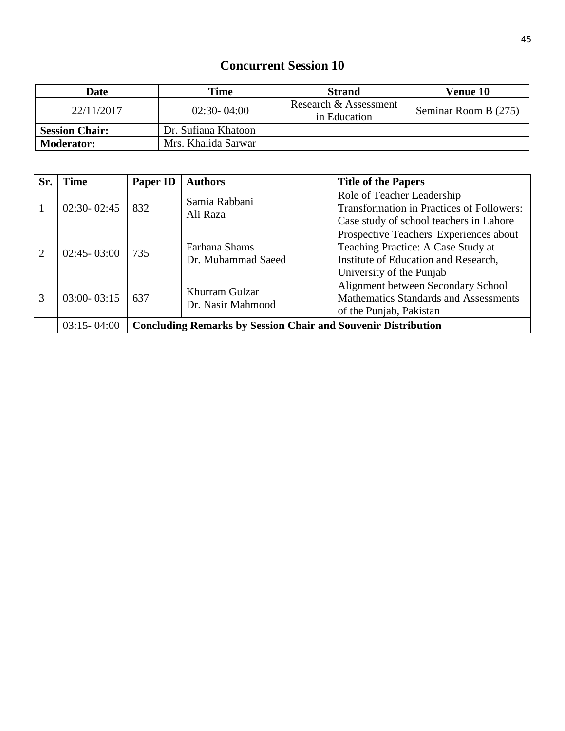| Date                  | Time                | <b>Strand</b>                         | <b>Venue 10</b>      |
|-----------------------|---------------------|---------------------------------------|----------------------|
| 22/11/2017            | $02:30 - 04:00$     | Research & Assessment<br>in Education | Seminar Room B (275) |
| <b>Session Chair:</b> | Dr. Sufiana Khatoon |                                       |                      |
| <b>Moderator:</b>     | Mrs. Khalida Sarwar |                                       |                      |

| Sr. | <b>Time</b>     | Paper ID                                                             | <b>Authors</b>                                                                                                                                | <b>Title of the Papers</b>                                                                                                                        |
|-----|-----------------|----------------------------------------------------------------------|-----------------------------------------------------------------------------------------------------------------------------------------------|---------------------------------------------------------------------------------------------------------------------------------------------------|
|     | $02:30 - 02:45$ | 832                                                                  | Samia Rabbani<br>Ali Raza                                                                                                                     | Role of Teacher Leadership<br><b>Transformation in Practices of Followers:</b><br>Case study of school teachers in Lahore                         |
| 2   | $02:45 - 03:00$ | 735                                                                  | Farhana Shams<br>Dr. Muhammad Saeed                                                                                                           | Prospective Teachers' Experiences about<br>Teaching Practice: A Case Study at<br>Institute of Education and Research,<br>University of the Punjab |
| 3   | $03:00 - 03:15$ | 637                                                                  | Alignment between Secondary School<br>Khurram Gulzar<br>Mathematics Standards and Assessments<br>Dr. Nasir Mahmood<br>of the Punjab, Pakistan |                                                                                                                                                   |
|     | $03:15 - 04:00$ | <b>Concluding Remarks by Session Chair and Souvenir Distribution</b> |                                                                                                                                               |                                                                                                                                                   |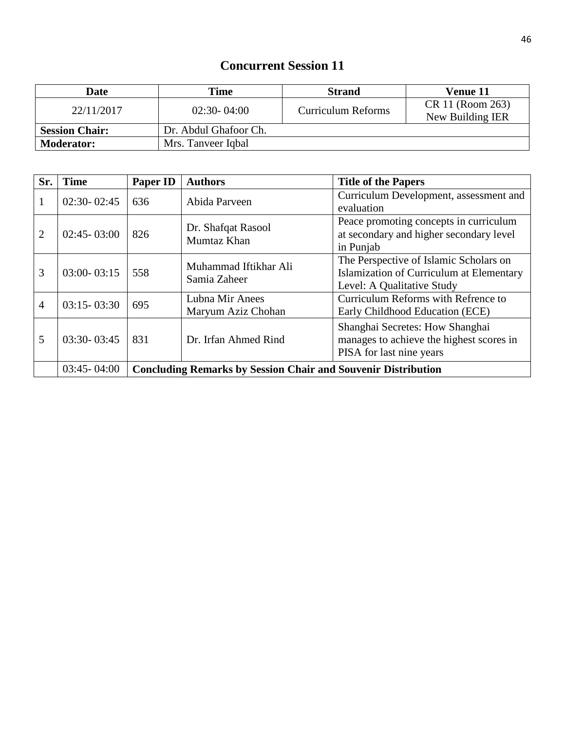| Date                  | Time                  | <b>Strand</b>      | Venue 11                             |
|-----------------------|-----------------------|--------------------|--------------------------------------|
| 22/11/2017            | $02:30 - 04:00$       | Curriculum Reforms | CR 11 (Room 263)<br>New Building IER |
| <b>Session Chair:</b> | Dr. Abdul Ghafoor Ch. |                    |                                      |
| <b>Moderator:</b>     | Mrs. Tanveer Iqbal    |                    |                                      |

| Sr.            | <b>Time</b>     | Paper ID                                                             | <b>Authors</b>                        | <b>Title of the Papers</b>                                                                                       |
|----------------|-----------------|----------------------------------------------------------------------|---------------------------------------|------------------------------------------------------------------------------------------------------------------|
|                | $02:30 - 02:45$ | 636                                                                  | Abida Parveen                         | Curriculum Development, assessment and<br>evaluation                                                             |
| 2              | $02:45 - 03:00$ | 826                                                                  | Dr. Shafqat Rasool<br>Mumtaz Khan     | Peace promoting concepts in curriculum<br>at secondary and higher secondary level<br>in Punjab                   |
| 3              | $03:00 - 03:15$ | 558                                                                  | Muhammad Iftikhar Ali<br>Samia Zaheer | The Perspective of Islamic Scholars on<br>Islamization of Curriculum at Elementary<br>Level: A Qualitative Study |
| $\overline{4}$ | $03:15 - 03:30$ | 695                                                                  | Lubna Mir Anees<br>Maryum Aziz Chohan | Curriculum Reforms with Refrence to<br>Early Childhood Education (ECE)                                           |
| 5              | $03:30 - 03:45$ | 831                                                                  | Dr. Irfan Ahmed Rind                  | Shanghai Secretes: How Shanghai<br>manages to achieve the highest scores in<br>PISA for last nine years          |
|                | $03:45 - 04:00$ | <b>Concluding Remarks by Session Chair and Souvenir Distribution</b> |                                       |                                                                                                                  |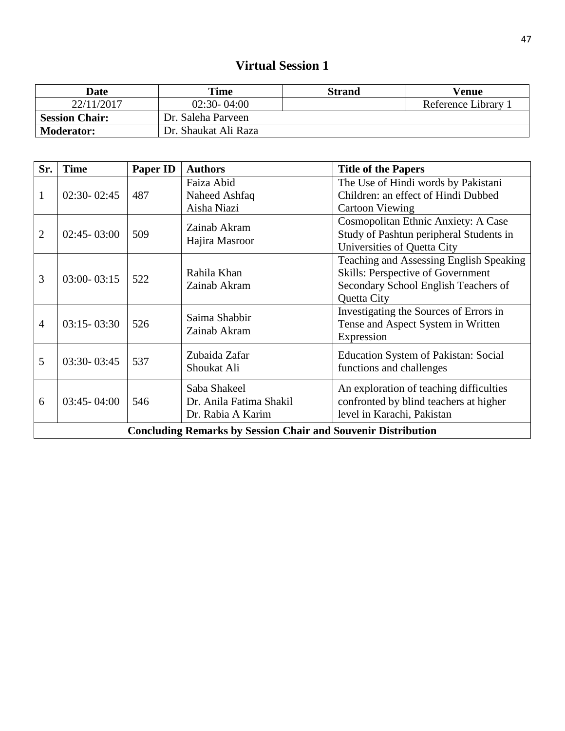# **Virtual Session 1**

| <b>Date</b>           | Time                 | Strand | Venue             |
|-----------------------|----------------------|--------|-------------------|
| 22/11/2017            | $02:30 - 04:00$      |        | Reference Library |
| <b>Session Chair:</b> | Dr. Saleha Parveen   |        |                   |
| <b>Moderator:</b>     | Dr. Shaukat Ali Raza |        |                   |

| Sr.            | <b>Time</b>     | <b>Paper ID</b> | <b>Authors</b>                                                       | <b>Title of the Papers</b>                                                                                                          |
|----------------|-----------------|-----------------|----------------------------------------------------------------------|-------------------------------------------------------------------------------------------------------------------------------------|
| $\mathbf{1}$   | $02:30 - 02:45$ | 487             | Faiza Abid<br>Naheed Ashfaq<br>Aisha Niazi                           | The Use of Hindi words by Pakistani<br>Children: an effect of Hindi Dubbed<br><b>Cartoon Viewing</b>                                |
| $\overline{2}$ | $02:45 - 03:00$ | 509             | Zainab Akram<br>Hajira Masroor                                       | Cosmopolitan Ethnic Anxiety: A Case<br>Study of Pashtun peripheral Students in<br>Universities of Quetta City                       |
| 3              | $03:00 - 03:15$ | 522             | Rahila Khan<br>Zainab Akram                                          | Teaching and Assessing English Speaking<br>Skills: Perspective of Government<br>Secondary School English Teachers of<br>Quetta City |
| $\overline{4}$ | $03:15 - 03:30$ | 526             | Saima Shabbir<br>Zainab Akram                                        | Investigating the Sources of Errors in<br>Tense and Aspect System in Written<br>Expression                                          |
| 5              | $03:30 - 03:45$ | 537             | Zubaida Zafar<br>Shoukat Ali                                         | Education System of Pakistan: Social<br>functions and challenges                                                                    |
| 6              | $03:45 - 04:00$ | 546             | Saba Shakeel<br>Dr. Anila Fatima Shakil<br>Dr. Rabia A Karim         | An exploration of teaching difficulties<br>confronted by blind teachers at higher<br>level in Karachi, Pakistan                     |
|                |                 |                 | <b>Concluding Remarks by Session Chair and Souvenir Distribution</b> |                                                                                                                                     |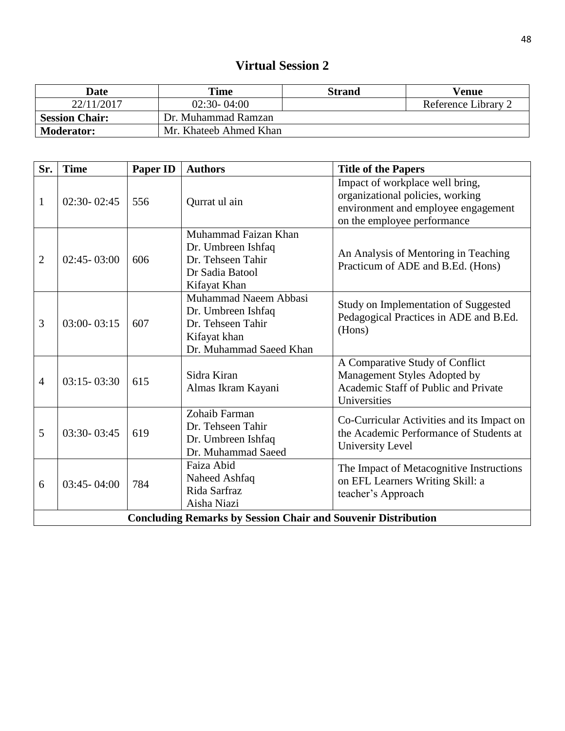#### **Virtual Session 2**

| <b>Date</b>           | Time                   | Strand | Venue               |
|-----------------------|------------------------|--------|---------------------|
| 22/11/2017            | $02:30 - 04:00$        |        | Reference Library 2 |
| <b>Session Chair:</b> | Dr. Muhammad Ramzan    |        |                     |
| <b>Moderator:</b>     | Mr. Khateeb Ahmed Khan |        |                     |

| Sr.            | <b>Time</b>                                                          | <b>Paper ID</b> | <b>Authors</b>                                                                                              | <b>Title of the Papers</b>                                                                                                                |  |  |
|----------------|----------------------------------------------------------------------|-----------------|-------------------------------------------------------------------------------------------------------------|-------------------------------------------------------------------------------------------------------------------------------------------|--|--|
| $\mathbf{1}$   | $02:30 - 02:45$                                                      | 556             | Qurrat ul ain                                                                                               | Impact of workplace well bring,<br>organizational policies, working<br>environment and employee engagement<br>on the employee performance |  |  |
| $\overline{2}$ | $02:45 - 03:00$                                                      | 606             | Muhammad Faizan Khan<br>Dr. Umbreen Ishfaq<br>Dr. Tehseen Tahir<br>Dr Sadia Batool<br>Kifayat Khan          | An Analysis of Mentoring in Teaching<br>Practicum of ADE and B.Ed. (Hons)                                                                 |  |  |
| 3              | $03:00 - 03:15$                                                      | 607             | Muhammad Naeem Abbasi<br>Dr. Umbreen Ishfaq<br>Dr. Tehseen Tahir<br>Kifayat khan<br>Dr. Muhammad Saeed Khan | Study on Implementation of Suggested<br>Pedagogical Practices in ADE and B.Ed.<br>(Hons)                                                  |  |  |
| $\overline{4}$ | $03:15 - 03:30$                                                      | 615             | Sidra Kiran<br>Almas Ikram Kayani                                                                           | A Comparative Study of Conflict<br>Management Styles Adopted by<br>Academic Staff of Public and Private<br>Universities                   |  |  |
| 5              | $03:30 - 03:45$                                                      | 619             | Zohaib Farman<br>Dr. Tehseen Tahir<br>Dr. Umbreen Ishfaq<br>Dr. Muhammad Saeed                              | Co-Curricular Activities and its Impact on<br>the Academic Performance of Students at<br>University Level                                 |  |  |
| 6              | $03:45 - 04:00$                                                      | 784             | Faiza Abid<br>Naheed Ashfaq<br>Rida Sarfraz<br>Aisha Niazi                                                  | The Impact of Metacognitive Instructions<br>on EFL Learners Writing Skill: a<br>teacher's Approach                                        |  |  |
|                | <b>Concluding Remarks by Session Chair and Souvenir Distribution</b> |                 |                                                                                                             |                                                                                                                                           |  |  |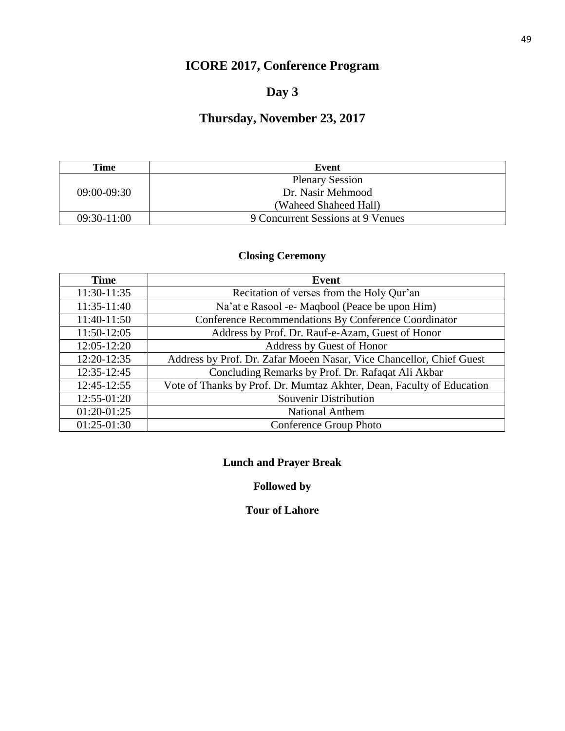# **ICORE 2017, Conference Program**

#### **Day 3**

# **Thursday, November 23, 2017**

| Time          | Event                             |  |
|---------------|-----------------------------------|--|
|               | <b>Plenary Session</b>            |  |
| $09:00-09:30$ | Dr. Nasir Mehmood                 |  |
|               | (Waheed Shaheed Hall)             |  |
| 09:30-11:00   | 9 Concurrent Sessions at 9 Venues |  |

#### **Closing Ceremony**

| <b>Time</b>   | <b>Event</b>                                                          |
|---------------|-----------------------------------------------------------------------|
| 11:30-11:35   | Recitation of verses from the Holy Qur'an                             |
| 11:35-11:40   | Na'at e Rasool -e- Maqbool (Peace be upon Him)                        |
| 11:40-11:50   | Conference Recommendations By Conference Coordinator                  |
| 11:50-12:05   | Address by Prof. Dr. Rauf-e-Azam, Guest of Honor                      |
| 12:05-12:20   | Address by Guest of Honor                                             |
| 12:20-12:35   | Address by Prof. Dr. Zafar Moeen Nasar, Vice Chancellor, Chief Guest  |
| 12:35-12:45   | Concluding Remarks by Prof. Dr. Rafaqat Ali Akbar                     |
| 12:45-12:55   | Vote of Thanks by Prof. Dr. Mumtaz Akhter, Dean, Faculty of Education |
| 12:55-01:20   | <b>Souvenir Distribution</b>                                          |
| 01:20-01:25   | <b>National Anthem</b>                                                |
| $01:25-01:30$ | Conference Group Photo                                                |

#### **Lunch and Prayer Break**

#### **Followed by**

#### **Tour of Lahore**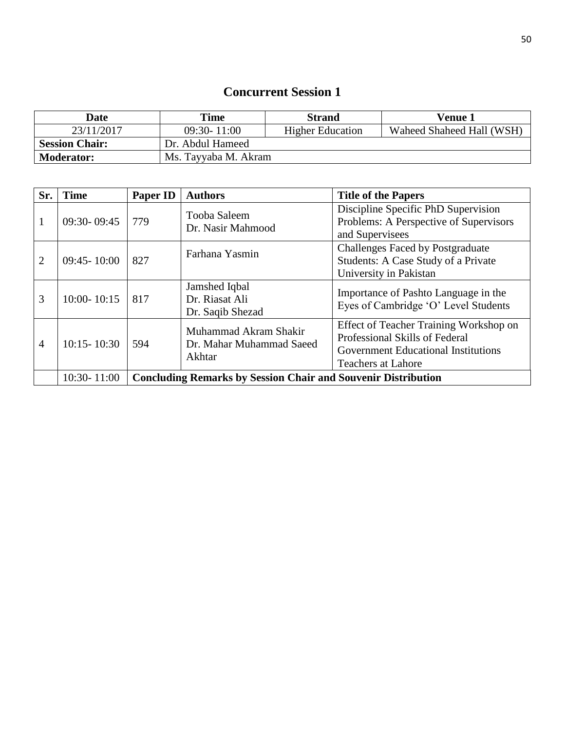| Date                  | Time                 | <b>Strand</b>           | Venue 1                   |
|-----------------------|----------------------|-------------------------|---------------------------|
| 23/11/2017            | $09:30 - 11:00$      | <b>Higher Education</b> | Waheed Shaheed Hall (WSH) |
| <b>Session Chair:</b> | Dr. Abdul Hameed     |                         |                           |
| <b>Moderator:</b>     | Ms. Tayyaba M. Akram |                         |                           |

| Sr.            | <b>Time</b>     | Paper ID                                                             | <b>Authors</b>                                                                                                                                                                                              | <b>Title of the Papers</b>                                                                               |  |
|----------------|-----------------|----------------------------------------------------------------------|-------------------------------------------------------------------------------------------------------------------------------------------------------------------------------------------------------------|----------------------------------------------------------------------------------------------------------|--|
| 1              | $09:30 - 09:45$ | 779                                                                  | Tooba Saleem<br>Dr. Nasir Mahmood                                                                                                                                                                           | Discipline Specific PhD Supervision<br>Problems: A Perspective of Supervisors<br>and Supervisees         |  |
| 2              | $09:45 - 10:00$ | 827                                                                  | Farhana Yasmin                                                                                                                                                                                              | <b>Challenges Faced by Postgraduate</b><br>Students: A Case Study of a Private<br>University in Pakistan |  |
| 3              | $10:00 - 10:15$ | 817                                                                  | Jamshed Iqbal<br>Dr. Riasat Ali<br>Dr. Saqib Shezad                                                                                                                                                         | Importance of Pashto Language in the<br>Eyes of Cambridge 'O' Level Students                             |  |
| $\overline{4}$ | $10:15 - 10:30$ | 594                                                                  | Effect of Teacher Training Workshop on<br>Muhammad Akram Shakir<br>Professional Skills of Federal<br>Dr. Mahar Muhammad Saeed<br>Government Educational Institutions<br>Akhtar<br><b>Teachers at Lahore</b> |                                                                                                          |  |
|                | $10:30 - 11:00$ | <b>Concluding Remarks by Session Chair and Souvenir Distribution</b> |                                                                                                                                                                                                             |                                                                                                          |  |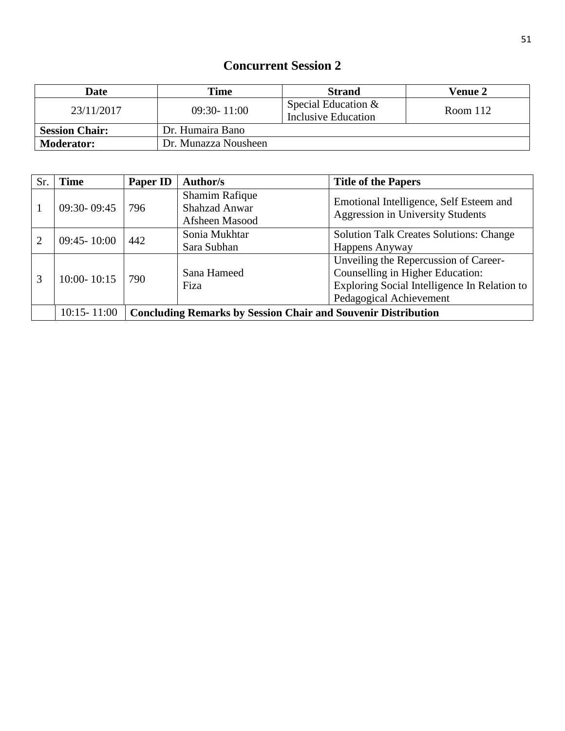| <b>Date</b>           | Time                 | <b>Strand</b>                              | <b>Venue 2</b> |
|-----------------------|----------------------|--------------------------------------------|----------------|
| 23/11/2017            | $09:30 - 11:00$      | Special Education &<br>Inclusive Education | Room 112       |
| <b>Session Chair:</b> | Dr. Humaira Bano     |                                            |                |
| <b>Moderator:</b>     | Dr. Munazza Nousheen |                                            |                |

| Sr. | <b>Time</b>     | <b>Paper ID</b>                                                      | Author/s                                      | <b>Title of the Papers</b>                     |  |
|-----|-----------------|----------------------------------------------------------------------|-----------------------------------------------|------------------------------------------------|--|
|     | $09:30 - 09:45$ | 796                                                                  | <b>Shamim Rafique</b><br><b>Shahzad Anwar</b> | Emotional Intelligence, Self Esteem and        |  |
|     |                 |                                                                      | Afsheen Masood                                | <b>Aggression in University Students</b>       |  |
|     | $09:45 - 10:00$ | 442                                                                  | Sonia Mukhtar                                 | <b>Solution Talk Creates Solutions: Change</b> |  |
|     |                 |                                                                      | Sara Subhan                                   | Happens Anyway                                 |  |
|     | $10:00 - 10:15$ | 790                                                                  |                                               | Unveiling the Repercussion of Career-          |  |
| 3   |                 |                                                                      | Sana Hameed                                   | Counselling in Higher Education:               |  |
|     |                 |                                                                      | Fiza                                          | Exploring Social Intelligence In Relation to   |  |
|     |                 |                                                                      |                                               | Pedagogical Achievement                        |  |
|     | $10:15 - 11:00$ | <b>Concluding Remarks by Session Chair and Souvenir Distribution</b> |                                               |                                                |  |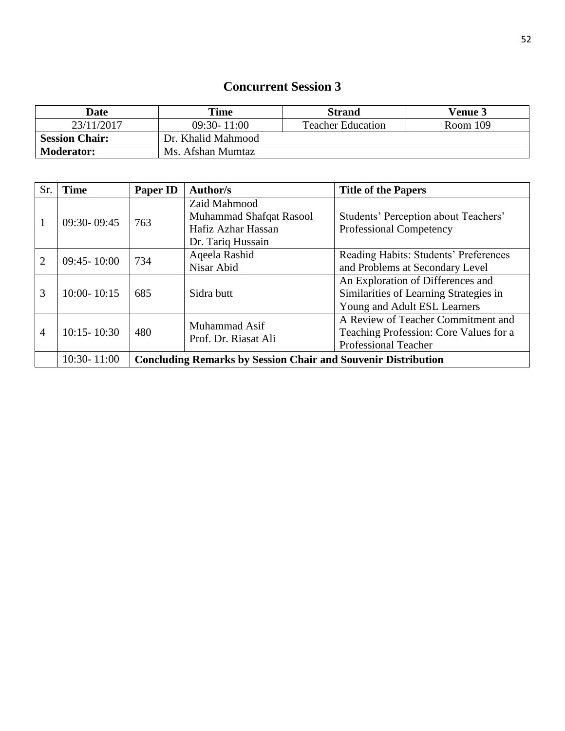| <b>Date</b>           | <b>Time</b>        | <b>Strand</b>            | <b>Venue 3</b> |
|-----------------------|--------------------|--------------------------|----------------|
| 23/11/2017            | $09:30 - 11:00$    | <b>Teacher Education</b> | Room 109       |
| <b>Session Chair:</b> | Dr. Khalid Mahmood |                          |                |
| <b>Moderator:</b>     | Ms. Afshan Mumtaz  |                          |                |

| Sr.            | <b>Time</b>     | Paper ID                                                             | Author/s                                      | <b>Title of the Papers</b>                                      |  |
|----------------|-----------------|----------------------------------------------------------------------|-----------------------------------------------|-----------------------------------------------------------------|--|
|                |                 |                                                                      | Zaid Mahmood                                  |                                                                 |  |
| 1              | $09:30 - 09:45$ | 763                                                                  | Muhammad Shafqat Rasool<br>Hafiz Azhar Hassan | Students' Perception about Teachers'<br>Professional Competency |  |
|                |                 |                                                                      | Dr. Tariq Hussain                             |                                                                 |  |
|                |                 | 734                                                                  | Aqeela Rashid                                 | Reading Habits: Students' Preferences                           |  |
| $\overline{2}$ | $09:45 - 10:00$ |                                                                      | Nisar Abid                                    | and Problems at Secondary Level                                 |  |
|                | $10:00 - 10:15$ | 685                                                                  | Sidra butt                                    | An Exploration of Differences and                               |  |
| 3              |                 |                                                                      |                                               | Similarities of Learning Strategies in                          |  |
|                |                 |                                                                      |                                               | Young and Adult ESL Learners                                    |  |
|                |                 | 480                                                                  | Muhammad Asif                                 | A Review of Teacher Commitment and                              |  |
| $\overline{4}$ | $10:15 - 10:30$ |                                                                      | Prof. Dr. Riasat Ali                          | Teaching Profession: Core Values for a                          |  |
|                |                 |                                                                      |                                               | <b>Professional Teacher</b>                                     |  |
|                | $10:30 - 11:00$ | <b>Concluding Remarks by Session Chair and Souvenir Distribution</b> |                                               |                                                                 |  |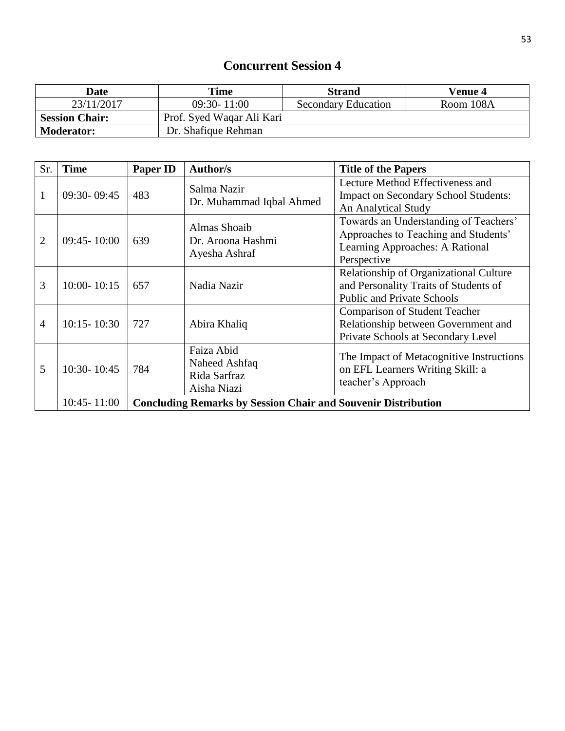| Date                  | <b>Time</b>               | <b>Strand</b>              | <b>Venue 4</b> |
|-----------------------|---------------------------|----------------------------|----------------|
| 23/11/2017            | $09:30 - 11:00$           | <b>Secondary Education</b> | Room 108A      |
| <b>Session Chair:</b> | Prof. Syed Waqar Ali Kari |                            |                |
| <b>Moderator:</b>     | Dr. Shafique Rehman       |                            |                |

| Sr.            | <b>Time</b>     | <b>Paper ID</b>                                                      | Author/s                                                   | <b>Title of the Papers</b>                                                                                                      |  |
|----------------|-----------------|----------------------------------------------------------------------|------------------------------------------------------------|---------------------------------------------------------------------------------------------------------------------------------|--|
|                | $09:30 - 09:45$ | 483                                                                  | Salma Nazir<br>Dr. Muhammad Iqbal Ahmed                    | Lecture Method Effectiveness and<br><b>Impact on Secondary School Students:</b><br>An Analytical Study                          |  |
| 2              | $09:45 - 10:00$ | 639                                                                  | Almas Shoaib<br>Dr. Aroona Hashmi<br>Ayesha Ashraf         | Towards an Understanding of Teachers'<br>Approaches to Teaching and Students'<br>Learning Approaches: A Rational<br>Perspective |  |
| 3              | $10:00 - 10:15$ | 657                                                                  | Nadia Nazir                                                | Relationship of Organizational Culture<br>and Personality Traits of Students of<br><b>Public and Private Schools</b>            |  |
| $\overline{4}$ | $10:15 - 10:30$ | 727                                                                  | Abira Khaliq                                               | <b>Comparison of Student Teacher</b><br>Relationship between Government and<br>Private Schools at Secondary Level               |  |
| 5              | 10:30-10:45     | 784                                                                  | Faiza Abid<br>Naheed Ashfaq<br>Rida Sarfraz<br>Aisha Niazi | The Impact of Metacognitive Instructions<br>on EFL Learners Writing Skill: a<br>teacher's Approach                              |  |
|                | $10:45 - 11:00$ | <b>Concluding Remarks by Session Chair and Souvenir Distribution</b> |                                                            |                                                                                                                                 |  |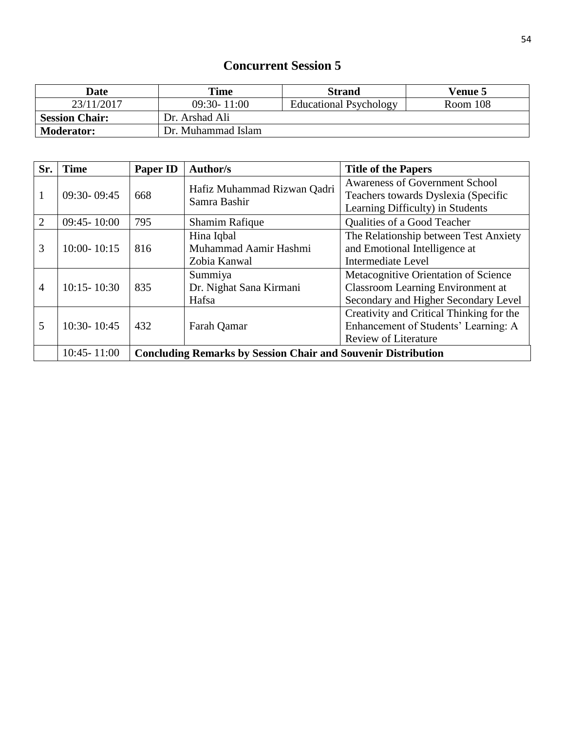| Date                  | Time               | <b>Strand</b>                 | <b>Venue 5</b> |
|-----------------------|--------------------|-------------------------------|----------------|
| 23/11/2017            | $09:30 - 11:00$    | <b>Educational Psychology</b> | Room 108       |
| <b>Session Chair:</b> | Dr. Arshad Ali     |                               |                |
| <b>Moderator:</b>     | Dr. Muhammad Islam |                               |                |

| Sr.            | <b>Time</b>     | <b>Paper ID</b>                                                      | <b>Author/s</b>                                     | <b>Title of the Papers</b>                                                                                               |
|----------------|-----------------|----------------------------------------------------------------------|-----------------------------------------------------|--------------------------------------------------------------------------------------------------------------------------|
| 1              | 09:30-09:45     | 668                                                                  | Hafiz Muhammad Rizwan Qadri<br>Samra Bashir         | <b>Awareness of Government School</b><br>Teachers towards Dyslexia (Specific<br>Learning Difficulty) in Students         |
| $\overline{2}$ | $09:45 - 10:00$ | 795                                                                  | <b>Shamim Rafique</b>                               | Qualities of a Good Teacher                                                                                              |
| 3              | $10:00 - 10:15$ | 816                                                                  | Hina Iqbal<br>Muhammad Aamir Hashmi<br>Zobia Kanwal | The Relationship between Test Anxiety<br>and Emotional Intelligence at<br>Intermediate Level                             |
| $\overline{4}$ | $10:15 - 10:30$ | 835                                                                  | Summiya<br>Dr. Nighat Sana Kirmani<br>Hafsa         | Metacognitive Orientation of Science<br><b>Classroom Learning Environment at</b><br>Secondary and Higher Secondary Level |
| 5              | $10:30 - 10:45$ | 432                                                                  | Farah Qamar                                         | Creativity and Critical Thinking for the<br>Enhancement of Students' Learning: A<br><b>Review of Literature</b>          |
|                | $10:45 - 11:00$ | <b>Concluding Remarks by Session Chair and Souvenir Distribution</b> |                                                     |                                                                                                                          |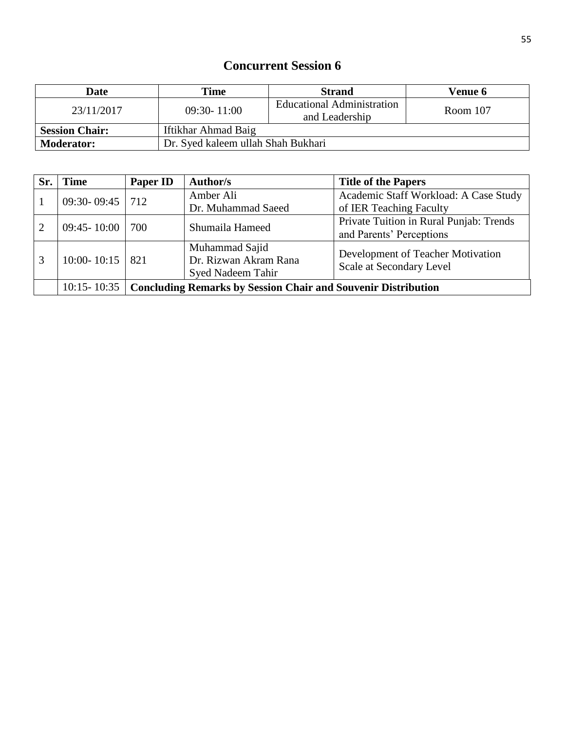| Date                  | Time                               | <b>Strand</b>                                | <b>Venue 6</b> |
|-----------------------|------------------------------------|----------------------------------------------|----------------|
| 23/11/2017            | $09:30 - 11:00$                    | Educational Administration<br>and Leadership | Room 107       |
| <b>Session Chair:</b> | Iftikhar Ahmad Baig                |                                              |                |
| <b>Moderator:</b>     | Dr. Syed kaleem ullah Shah Bukhari |                                              |                |

| Sr. | <b>Time</b>       | <b>Paper ID</b>                                                             | Author/s                 | <b>Title of the Papers</b>              |
|-----|-------------------|-----------------------------------------------------------------------------|--------------------------|-----------------------------------------|
|     | 09:30-09:45   712 |                                                                             | Amber Ali                | Academic Staff Workload: A Case Study   |
|     |                   |                                                                             | Dr. Muhammad Saeed       | of IER Teaching Faculty                 |
|     | $09:45 - 10:00$   | 700                                                                         | Shumaila Hameed          | Private Tuition in Rural Punjab: Trends |
|     |                   |                                                                             |                          | and Parents' Perceptions                |
| 3   | $10:00 - 10:15$   | 821                                                                         | Muhammad Sajid           | Development of Teacher Motivation       |
|     |                   |                                                                             | Dr. Rizwan Akram Rana    | Scale at Secondary Level                |
|     |                   |                                                                             | <b>Syed Nadeem Tahir</b> |                                         |
|     |                   | 10:15-10:35   Concluding Remarks by Session Chair and Souvenir Distribution |                          |                                         |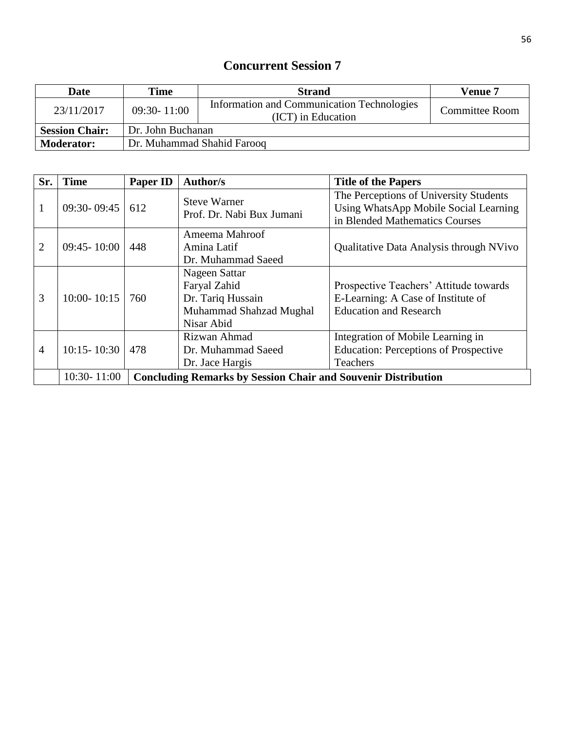| <b>Date</b>                                | Time            | <b>Strand</b>                                                    | <b>Venue 7</b> |  |
|--------------------------------------------|-----------------|------------------------------------------------------------------|----------------|--|
| 23/11/2017                                 | $09:30 - 11:00$ | Information and Communication Technologies<br>(ICT) in Education | Committee Room |  |
| <b>Session Chair:</b><br>Dr. John Buchanan |                 |                                                                  |                |  |
| <b>Moderator:</b>                          |                 | Dr. Muhammad Shahid Farooq                                       |                |  |

| Sr.            | <b>Time</b>     | <b>Paper ID</b>                                                      | Author/s                                                                                    | <b>Title of the Papers</b>                                                                                        |
|----------------|-----------------|----------------------------------------------------------------------|---------------------------------------------------------------------------------------------|-------------------------------------------------------------------------------------------------------------------|
| 1              | $09:30 - 09:45$ | 612                                                                  | <b>Steve Warner</b><br>Prof. Dr. Nabi Bux Jumani                                            | The Perceptions of University Students<br>Using WhatsApp Mobile Social Learning<br>in Blended Mathematics Courses |
| $\overline{2}$ | $09:45 - 10:00$ | 448                                                                  | Ameema Mahroof<br>Amina Latif<br>Dr. Muhammad Saeed                                         | Qualitative Data Analysis through NVivo                                                                           |
| 3              | $10:00 - 10:15$ | 760                                                                  | Nageen Sattar<br>Faryal Zahid<br>Dr. Tariq Hussain<br>Muhammad Shahzad Mughal<br>Nisar Abid | Prospective Teachers' Attitude towards<br>E-Learning: A Case of Institute of<br><b>Education and Research</b>     |
| 4              | $10:15 - 10:30$ | 478                                                                  | Rizwan Ahmad<br>Dr. Muhammad Saeed<br>Dr. Jace Hargis                                       | Integration of Mobile Learning in<br><b>Education: Perceptions of Prospective</b><br>Teachers                     |
|                | $10:30 - 11:00$ | <b>Concluding Remarks by Session Chair and Souvenir Distribution</b> |                                                                                             |                                                                                                                   |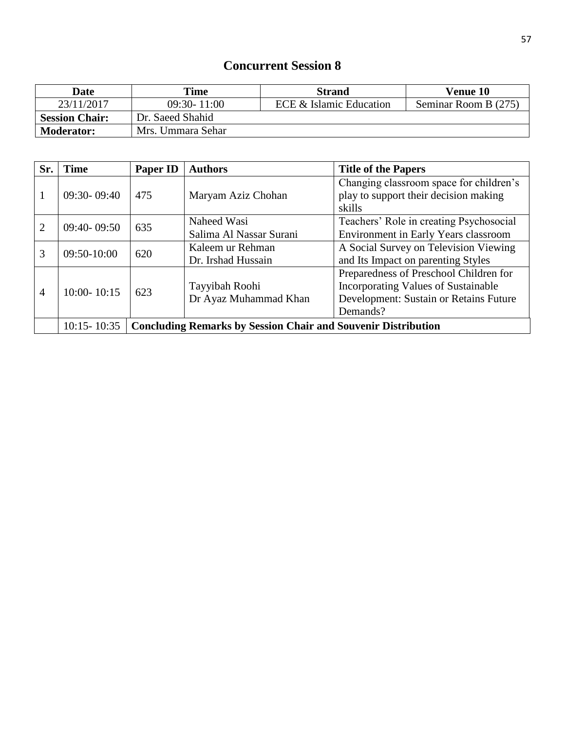| <b>Date</b>           | Time                                       | <b>Strand</b> | <b>Venue 10</b>      |
|-----------------------|--------------------------------------------|---------------|----------------------|
| 23/11/2017            | $09:30 - 11:00$<br>ECE & Islamic Education |               | Seminar Room B (275) |
| <b>Session Chair:</b> | Dr. Saeed Shahid                           |               |                      |
| <b>Moderator:</b>     | Mrs. Ummara Sehar                          |               |                      |

| Sr.            | <b>Time</b>     | <b>Paper ID</b>                                                      | <b>Authors</b>          | <b>Title of the Papers</b>              |
|----------------|-----------------|----------------------------------------------------------------------|-------------------------|-----------------------------------------|
|                |                 |                                                                      |                         | Changing classroom space for children's |
| 1              | $09:30 - 09:40$ | 475                                                                  | Maryam Aziz Chohan      | play to support their decision making   |
|                |                 |                                                                      |                         | skills                                  |
| $\overline{2}$ | $09:40 - 09:50$ | 635                                                                  | Naheed Wasi             | Teachers' Role in creating Psychosocial |
|                |                 |                                                                      | Salima Al Nassar Surani | Environment in Early Years classroom    |
| 3              | $09:50-10:00$   | 620                                                                  | Kaleem ur Rehman        | A Social Survey on Television Viewing   |
|                |                 |                                                                      | Dr. Irshad Hussain      | and Its Impact on parenting Styles      |
|                | $10:00 - 10:15$ | 623                                                                  |                         | Preparedness of Preschool Children for  |
| $\overline{4}$ |                 |                                                                      | Tayyibah Roohi          | Incorporating Values of Sustainable     |
|                |                 |                                                                      | Dr Ayaz Muhammad Khan   | Development: Sustain or Retains Future  |
|                |                 |                                                                      |                         | Demands?                                |
|                | $10:15 - 10:35$ | <b>Concluding Remarks by Session Chair and Souvenir Distribution</b> |                         |                                         |